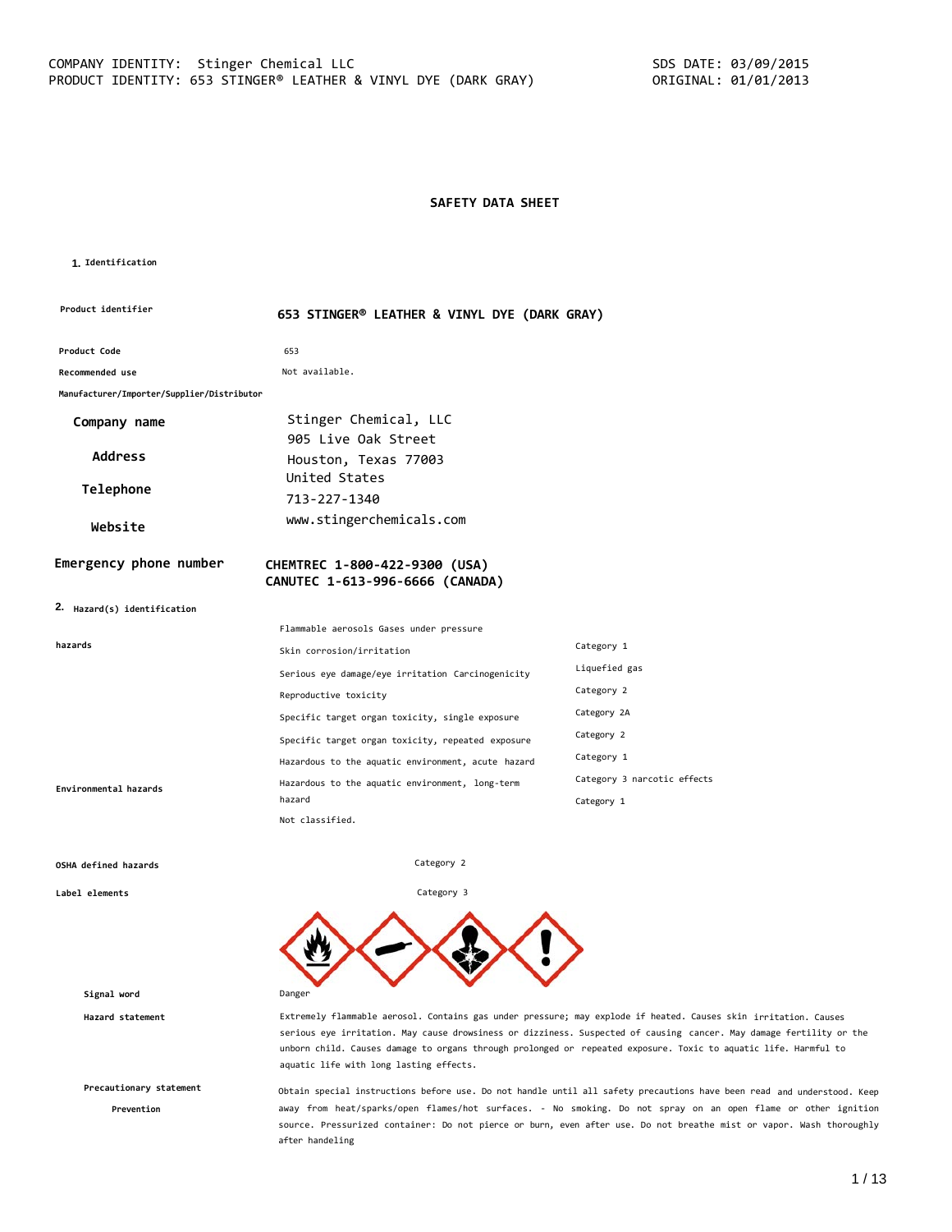### **SAFETY DATA SHEET**

### **1. Identification**

| Product identifier                         | 653 STINGER® LEATHER & VINYL DYE (DARK GRAY)                     |                             |  |
|--------------------------------------------|------------------------------------------------------------------|-----------------------------|--|
| Product Code                               | 653                                                              |                             |  |
| <b>Recommended use</b>                     | Not available.                                                   |                             |  |
| Manufacturer/Importer/Supplier/Distributor |                                                                  |                             |  |
| Company name                               | Stinger Chemical, LLC                                            |                             |  |
| <b>Address</b>                             | 905 Live Oak Street<br>Houston, Texas 77003                      |                             |  |
| Telephone                                  | United States<br>713-227-1340                                    |                             |  |
| Website                                    | www.stingerchemicals.com                                         |                             |  |
| Emergency phone number                     | CHEMTREC 1-800-422-9300 (USA)<br>CANUTEC 1-613-996-6666 (CANADA) |                             |  |
| 2. Hazard(s) identification                |                                                                  |                             |  |
|                                            | Flammable aerosols Gases under pressure                          |                             |  |
| hazards                                    | Skin corrosion/irritation                                        | Category 1                  |  |
|                                            | Serious eye damage/eye irritation Carcinogenicity                | Liquefied gas               |  |
|                                            | Reproductive toxicity                                            | Category 2                  |  |
|                                            | Specific target organ toxicity, single exposure                  | Category 2A                 |  |
|                                            | Specific target organ toxicity, repeated exposure                | Category 2                  |  |
|                                            | Hazardous to the aquatic environment, acute hazard               | Category 1                  |  |
| Environmental hazards                      | Hazardous to the aquatic environment, long-term                  | Category 3 narcotic effects |  |
|                                            | hazard                                                           | Category 1                  |  |
|                                            | Not classified.                                                  |                             |  |

Category 2

Category 3

### **OSHA defined hazards**

**Label elements**

**Signal word** Danger

**Precautionary statement**

**Prevention**

**Hazard statement** Extremely flammable aerosol. Contains gas under pressure; may explode if heated. Causes skin irritation. Causes serious eye irritation. May cause drowsiness or dizziness. Suspected of causing cancer. May damage fertility or the unborn child. Causes damage to organs through prolonged or repeated exposure. Toxic to aquatic life. Harmful to aquatic life with long lasting effects.

> Obtain special instructions before use. Do not handle until all safety precautions have been read and understood. Keep away from heat/sparks/open flames/hot surfaces. - No smoking. Do not spray on an open flame or other ignition source. Pressurized container: Do not pierce or burn, even after use. Do not breathe mist or vapor. Wash thoroughly after handeling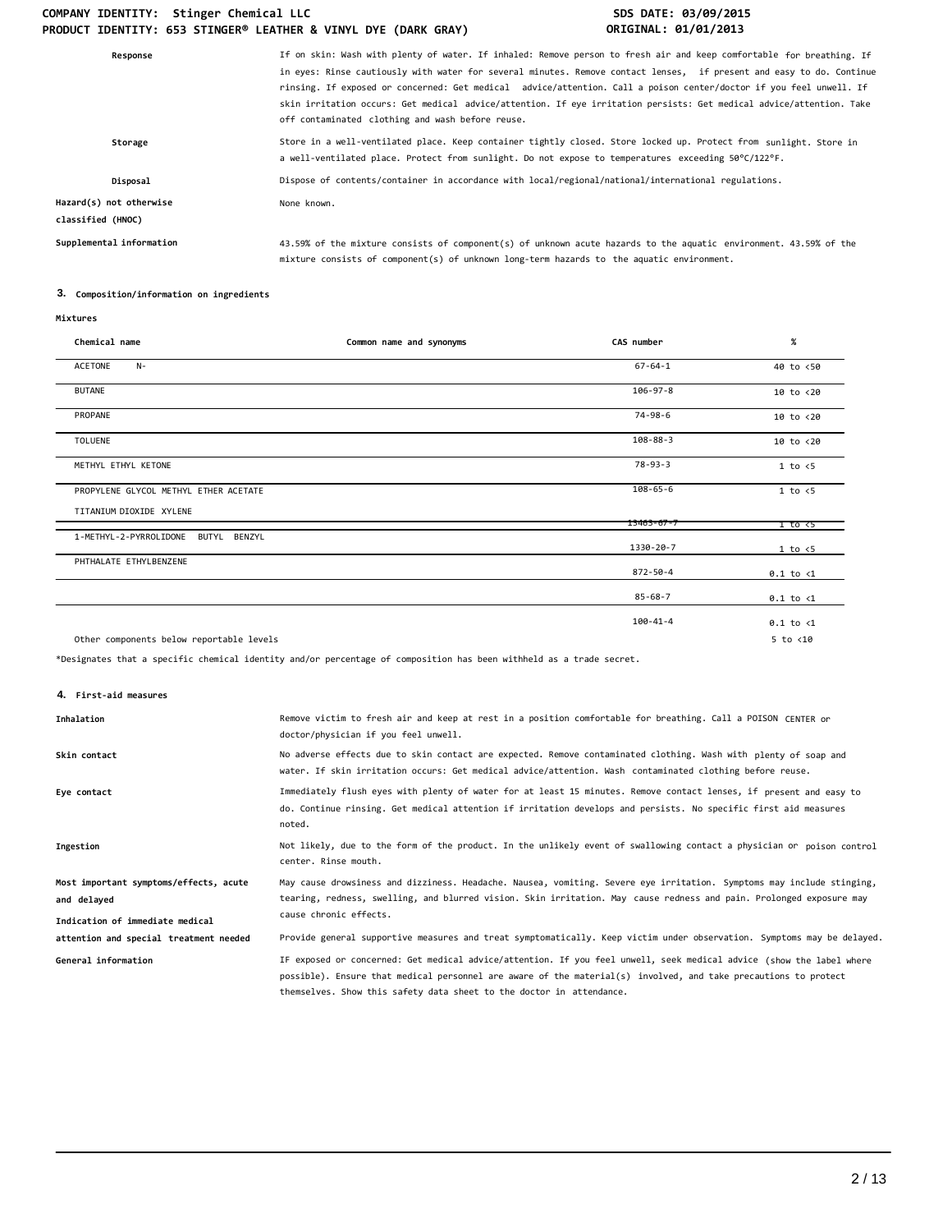### COMPANY IDENTITY: Stinger Chemical LLC **SDS DATE: 03/09/2015 PRODUCT IDENTITY: 653 STINGER® LEATHER & VINYL DYE (DARK GRAY) ORIGINAL: 01/01/2013**

| If on skin: Wash with plenty of water. If inhaled: Remove person to fresh air and keep comfortable for breathing. If<br>in eyes: Rinse cautiously with water for several minutes. Remove contact lenses, if present and easy to do. Continue<br>rinsing. If exposed or concerned: Get medical advice/attention. Call a poison center/doctor if you feel unwell. If<br>skin irritation occurs: Get medical advice/attention. If eye irritation persists: Get medical advice/attention. Take<br>off contaminated clothing and wash before reuse. |
|------------------------------------------------------------------------------------------------------------------------------------------------------------------------------------------------------------------------------------------------------------------------------------------------------------------------------------------------------------------------------------------------------------------------------------------------------------------------------------------------------------------------------------------------|
| Store in a well-ventilated place. Keep container tightly closed. Store locked up. Protect from sunlight. Store in<br>a well-ventilated place. Protect from sunlight. Do not expose to temperatures exceeding 50°C/122°F.                                                                                                                                                                                                                                                                                                                       |
| Dispose of contents/container in accordance with local/regional/national/international regulations.                                                                                                                                                                                                                                                                                                                                                                                                                                            |
| None known.                                                                                                                                                                                                                                                                                                                                                                                                                                                                                                                                    |
| 43.59% of the mixture consists of component(s) of unknown acute hazards to the aquatic environment. 43.59% of the<br>mixture consists of component(s) of unknown long-term hazards to the aquatic environment.                                                                                                                                                                                                                                                                                                                                 |
|                                                                                                                                                                                                                                                                                                                                                                                                                                                                                                                                                |

### **3. Composition/information on ingredients**

### **Mixtures**

| Chemical name                            | Common name and synonyms | CAS number       | $\%$                 |
|------------------------------------------|--------------------------|------------------|----------------------|
| ACETONE<br>$N-$                          |                          | $67 - 64 - 1$    | 40 to <50            |
| <b>BUTANE</b>                            |                          | 106-97-8         | 10 to <20            |
| PROPANE                                  |                          | $74 - 98 - 6$    | 10 to <20            |
| TOLUENE                                  |                          | $108 - 88 - 3$   | 10 to <20            |
| METHYL ETHYL KETONE                      |                          | $78 - 93 - 3$    | 1 to < 5             |
| PROPYLENE GLYCOL METHYL ETHER ACETATE    |                          | $108 - 65 - 6$   | 1 to < 5             |
| TITANIUM DIOXIDE XYLENE                  |                          |                  |                      |
|                                          |                          | $13463 - 67 - 7$ | 1 to <5              |
| 1-METHYL-2-PYRROLIDONE<br>BUTYL BENZYL   |                          | 1330-20-7        | 1 to < 5             |
| PHTHALATE ETHYLBENZENE                   |                          | 872-50-4         | $0.1$ to $\langle 1$ |
|                                          |                          | $85 - 68 - 7$    | $0.1$ to $\langle 1$ |
|                                          |                          | $100 - 41 - 4$   | $0.1$ to $\langle 1$ |
| Other components below reportable levels |                          |                  | $5$ to $< 10$        |

\*Designates that a specific chemical identity and/or percentage of composition has been withheld as a trade secret.

### **4. First-aid measures**

| Inhalation                                                                               | Remove victim to fresh air and keep at rest in a position comfortable for breathing. Call a POISON CENTER or<br>doctor/physician if you feel unwell.                                                                                                                                                            |
|------------------------------------------------------------------------------------------|-----------------------------------------------------------------------------------------------------------------------------------------------------------------------------------------------------------------------------------------------------------------------------------------------------------------|
| Skin contact                                                                             | No adverse effects due to skin contact are expected. Remove contaminated clothing. Wash with plenty of soap and<br>water. If skin irritation occurs: Get medical advice/attention. Wash contaminated clothing before reuse.                                                                                     |
| Eye contact                                                                              | Immediately flush eyes with plenty of water for at least 15 minutes. Remove contact lenses, if present and easy to<br>do. Continue rinsing. Get medical attention if irritation develops and persists. No specific first aid measures<br>noted.                                                                 |
| Ingestion                                                                                | Not likely, due to the form of the product. In the unlikely event of swallowing contact a physician or poison control<br>center. Rinse mouth.                                                                                                                                                                   |
| Most important symptoms/effects, acute<br>and delayed<br>Indication of immediate medical | May cause drowsiness and dizziness. Headache. Nausea, vomiting. Severe eye irritation. Symptoms may include stinging,<br>tearing, redness, swelling, and blurred vision. Skin irritation. May cause redness and pain. Prolonged exposure may<br>cause chronic effects.                                          |
| attention and special treatment needed                                                   | Provide general supportive measures and treat symptomatically. Keep victim under observation. Symptoms may be delayed.                                                                                                                                                                                          |
| General information                                                                      | IF exposed or concerned: Get medical advice/attention. If you feel unwell, seek medical advice (show the label where<br>possible). Ensure that medical personnel are aware of the material(s) involved, and take precautions to protect<br>themselves. Show this safety data sheet to the doctor in attendance. |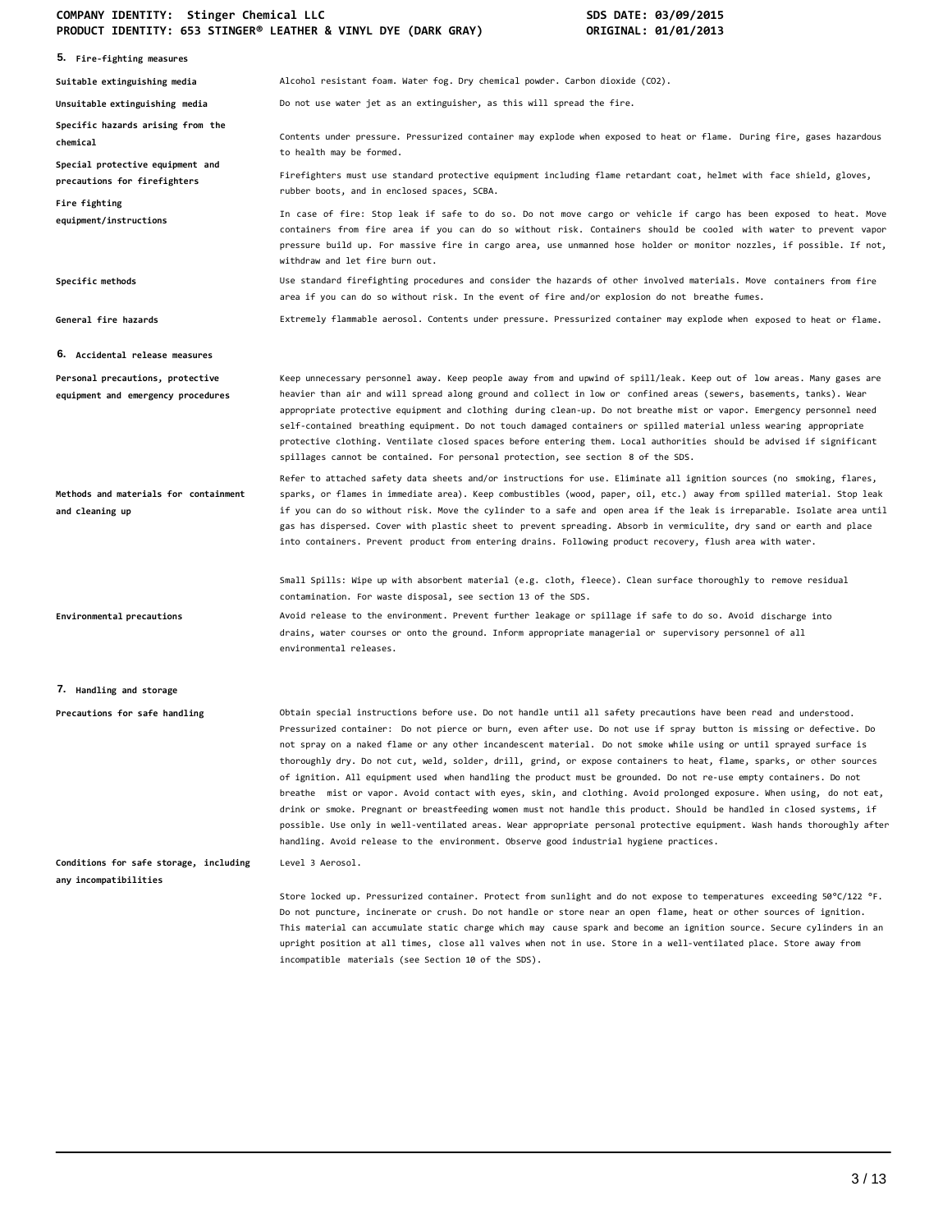### **COMPANY IDENTITY: Stinger Chemical LLC SDS DATE: 03/09/2015 PRODUCT IDENTITY: 653 STINGER® LEATHER & VINYL DYE (DARK GRAY) ORIGINAL: 01/01/2013**

| 5. Fire-fighting measures                                              |                                                                                                                                                                                                                                                                                                                                                                                                                                                                                                                                                                                                                                                                                                                                                                                                                                                                                                                                                                                                                                                                                          |
|------------------------------------------------------------------------|------------------------------------------------------------------------------------------------------------------------------------------------------------------------------------------------------------------------------------------------------------------------------------------------------------------------------------------------------------------------------------------------------------------------------------------------------------------------------------------------------------------------------------------------------------------------------------------------------------------------------------------------------------------------------------------------------------------------------------------------------------------------------------------------------------------------------------------------------------------------------------------------------------------------------------------------------------------------------------------------------------------------------------------------------------------------------------------|
| Suitable extinguishing media                                           | Alcohol resistant foam. Water fog. Dry chemical powder. Carbon dioxide (CO2).                                                                                                                                                                                                                                                                                                                                                                                                                                                                                                                                                                                                                                                                                                                                                                                                                                                                                                                                                                                                            |
| Unsuitable extinguishing media                                         | Do not use water jet as an extinguisher, as this will spread the fire.                                                                                                                                                                                                                                                                                                                                                                                                                                                                                                                                                                                                                                                                                                                                                                                                                                                                                                                                                                                                                   |
| Specific hazards arising from the<br>chemical                          | Contents under pressure. Pressurized container may explode when exposed to heat or flame. During fire, gases hazardous<br>to health may be formed.                                                                                                                                                                                                                                                                                                                                                                                                                                                                                                                                                                                                                                                                                                                                                                                                                                                                                                                                       |
| Special protective equipment and<br>precautions for firefighters       | Firefighters must use standard protective equipment including flame retardant coat, helmet with face shield, gloves,<br>rubber boots, and in enclosed spaces, SCBA.                                                                                                                                                                                                                                                                                                                                                                                                                                                                                                                                                                                                                                                                                                                                                                                                                                                                                                                      |
| Fire fighting<br>equipment/instructions                                | In case of fire: Stop leak if safe to do so. Do not move cargo or vehicle if cargo has been exposed to heat. Move<br>containers from fire area if you can do so without risk. Containers should be cooled with water to prevent vapor<br>pressure build up. For massive fire in cargo area, use unmanned hose holder or monitor nozzles, if possible. If not,<br>withdraw and let fire burn out.                                                                                                                                                                                                                                                                                                                                                                                                                                                                                                                                                                                                                                                                                         |
| Specific methods                                                       | Use standard firefighting procedures and consider the hazards of other involved materials. Move containers from fire<br>area if you can do so without risk. In the event of fire and/or explosion do not breathe fumes.                                                                                                                                                                                                                                                                                                                                                                                                                                                                                                                                                                                                                                                                                                                                                                                                                                                                  |
| General fire hazards                                                   | Extremely flammable aerosol. Contents under pressure. Pressurized container may explode when exposed to heat or flame.                                                                                                                                                                                                                                                                                                                                                                                                                                                                                                                                                                                                                                                                                                                                                                                                                                                                                                                                                                   |
| <b>6. Accidental release measures</b>                                  |                                                                                                                                                                                                                                                                                                                                                                                                                                                                                                                                                                                                                                                                                                                                                                                                                                                                                                                                                                                                                                                                                          |
| Personal precautions, protective<br>equipment and emergency procedures | Keep unnecessary personnel away. Keep people away from and upwind of spill/leak. Keep out of low areas. Many gases are<br>heavier than air and will spread along ground and collect in low or confined areas (sewers, basements, tanks). Wear<br>appropriate protective equipment and clothing during clean-up. Do not breathe mist or vapor. Emergency personnel need<br>self-contained breathing equipment. Do not touch damaged containers or spilled material unless wearing appropriate<br>protective clothing. Ventilate closed spaces before entering them. Local authorities should be advised if significant<br>spillages cannot be contained. For personal protection, see section 8 of the SDS.                                                                                                                                                                                                                                                                                                                                                                               |
| Methods and materials for containment<br>and cleaning up               | Refer to attached safety data sheets and/or instructions for use. Eliminate all ignition sources (no smoking, flares,<br>sparks, or flames in immediate area). Keep combustibles (wood, paper, oil, etc.) away from spilled material. Stop leak<br>if you can do so without risk. Move the cylinder to a safe and open area if the leak is irreparable. Isolate area until<br>gas has dispersed. Cover with plastic sheet to prevent spreading. Absorb in vermiculite, dry sand or earth and place<br>into containers. Prevent product from entering drains. Following product recovery, flush area with water.                                                                                                                                                                                                                                                                                                                                                                                                                                                                          |
|                                                                        | Small Spills: Wipe up with absorbent material (e.g. cloth, fleece). Clean surface thoroughly to remove residual<br>contamination. For waste disposal, see section 13 of the SDS.                                                                                                                                                                                                                                                                                                                                                                                                                                                                                                                                                                                                                                                                                                                                                                                                                                                                                                         |
| Environmental precautions                                              | Avoid release to the environment. Prevent further leakage or spillage if safe to do so. Avoid discharge into<br>drains, water courses or onto the ground. Inform appropriate managerial or supervisory personnel of all<br>environmental releases.                                                                                                                                                                                                                                                                                                                                                                                                                                                                                                                                                                                                                                                                                                                                                                                                                                       |
| 7. Handling and storage                                                |                                                                                                                                                                                                                                                                                                                                                                                                                                                                                                                                                                                                                                                                                                                                                                                                                                                                                                                                                                                                                                                                                          |
| Precautions for safe handling                                          | Obtain special instructions before use. Do not handle until all safety precautions have been read and understood.<br>Pressurized container: Do not pierce or burn, even after use. Do not use if spray button is missing or defective. Do<br>not spray on a naked flame or any other incandescent material. Do not smoke while using or until sprayed surface is<br>thoroughly dry. Do not cut, weld, solder, drill, grind, or expose containers to heat, flame, sparks, or other sources<br>of ignition. All equipment used when handling the product must be grounded. Do not re-use empty containers. Do not<br>breathe  mist or vapor. Avoid contact with eyes, skin, and clothing. Avoid prolonged exposure. When using, do not eat,<br>drink or smoke. Pregnant or breastfeeding women must not handle this product. Should be handled in closed systems, if<br>possible. Use only in well-ventilated areas. Wear appropriate personal protective equipment. Wash hands thoroughly after<br>handling. Avoid release to the environment. Observe good industrial hygiene practices. |
| Conditions for safe storage, including<br>any incompatibilities        | Level 3 Aerosol.                                                                                                                                                                                                                                                                                                                                                                                                                                                                                                                                                                                                                                                                                                                                                                                                                                                                                                                                                                                                                                                                         |
|                                                                        | Store locked up. Pressurized container. Protect from sunlight and do not expose to temperatures exceeding 50°C/122 °F.<br>Do not puncture, incinerate or crush. Do not handle or store near an open flame, heat or other sources of ignition.<br>This material can accumulate static charge which may cause spark and become an ignition source. Secure cylinders in an<br>upright position at all times, close all valves when not in use. Store in a well-ventilated place. Store away from<br>incompatible materials (see Section 10 of the SDS).                                                                                                                                                                                                                                                                                                                                                                                                                                                                                                                                     |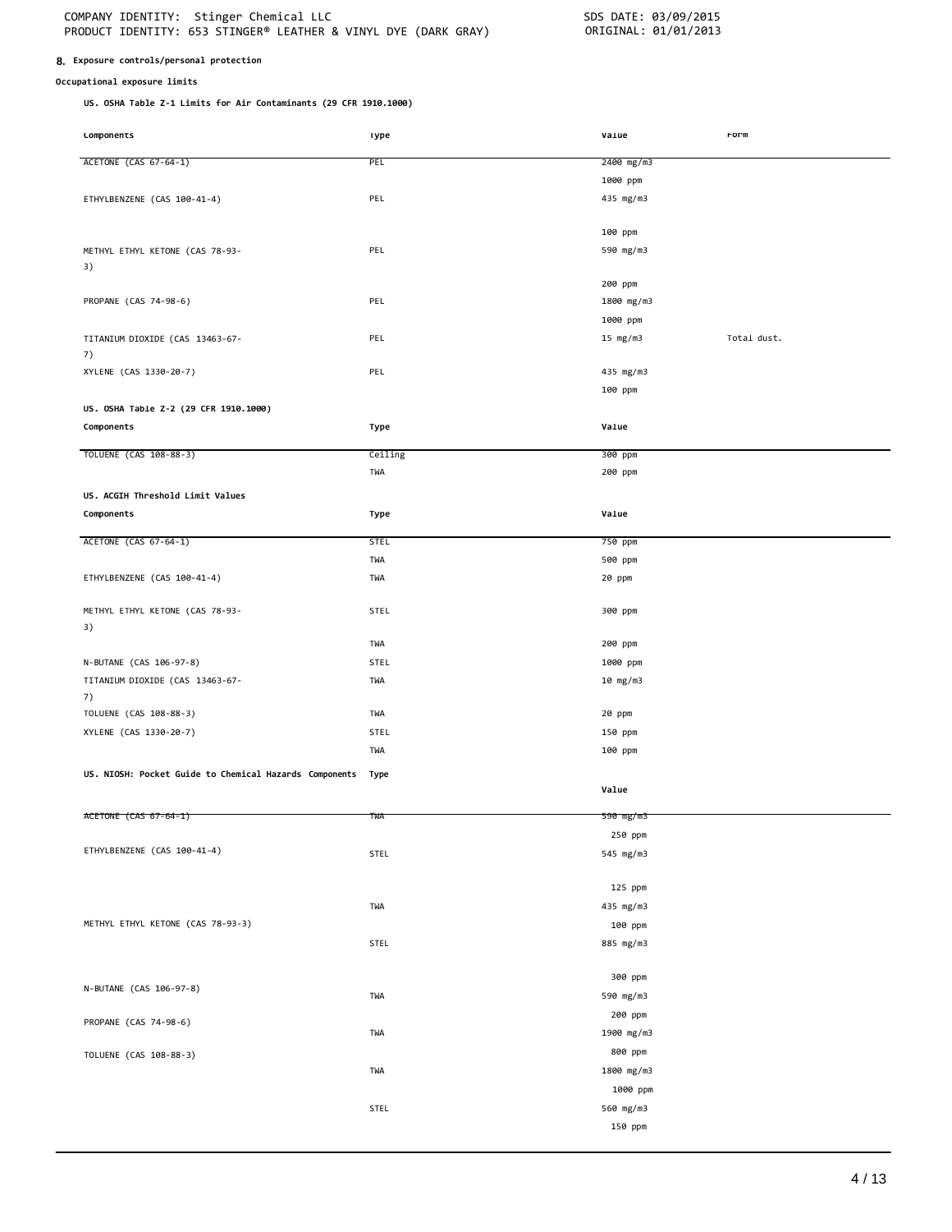### **8. Exposure controls/personal protection**

### **Occupational exposure limits**

**US. OSHA Table Z-1 Limits for Air Contaminants (29 CFR 1910.1000)**

| Lomponents                                             | ıype        | varue      | rorm        |
|--------------------------------------------------------|-------------|------------|-------------|
| ACETONE (CAS 67-64-1)                                  | PEL         | 2400 mg/m3 |             |
|                                                        |             |            |             |
|                                                        |             | 1000 ppm   |             |
| ETHYLBENZENE (CAS 100-41-4)                            | PEL         | 435 mg/m3  |             |
|                                                        |             |            |             |
|                                                        |             | 100 ppm    |             |
| METHYL ETHYL KETONE (CAS 78-93-                        | PEL         | 590 mg/m3  |             |
| 3)                                                     |             |            |             |
|                                                        |             | 200 ppm    |             |
| PROPANE (CAS 74-98-6)                                  | PEL         | 1800 mg/m3 |             |
|                                                        |             | 1000 ppm   |             |
| TITANIUM DIOXIDE (CAS 13463-67-                        | PEL         | 15 $mg/m3$ | Total dust. |
| 7)                                                     |             |            |             |
| XYLENE (CAS 1330-20-7)                                 | PEL         | 435 mg/m3  |             |
|                                                        |             | 100 ppm    |             |
| US. OSHA Table Z-2 (29 CFR 1910.1000)                  |             |            |             |
| Components                                             | Type        | Value      |             |
|                                                        |             |            |             |
| TOLUENE (CAS 108-88-3)                                 | Ceiling     | 300 ppm    |             |
|                                                        | TWA         | 200 ppm    |             |
|                                                        |             |            |             |
| US. ACGIH Threshold Limit Values                       |             |            |             |
| Components                                             | Type        | Value      |             |
| ACETONE (CAS 67-64-1)                                  | <b>STEL</b> | 750 ppm    |             |
|                                                        | TWA         | 500 ppm    |             |
| ETHYLBENZENE (CAS 100-41-4)                            | TWA         | 20 ppm     |             |
|                                                        |             |            |             |
| METHYL ETHYL KETONE (CAS 78-93-                        | <b>STEL</b> | 300 ppm    |             |
| 3)                                                     |             |            |             |
|                                                        | TWA         | 200 ppm    |             |
| N-BUTANE (CAS 106-97-8)                                | STEL        | 1000 ppm   |             |
| TITANIUM DIOXIDE (CAS 13463-67-                        | TWA         |            |             |
| 7)                                                     |             | 10 mg/m3   |             |
| TOLUENE (CAS 108-88-3)                                 | TWA         | 20 ppm     |             |
|                                                        |             |            |             |
| XYLENE (CAS 1330-20-7)                                 | STEL        | 150 ppm    |             |
|                                                        | TWA         | 100 ppm    |             |
| US. NIOSH: Pocket Guide to Chemical Hazards Components | Type        |            |             |
|                                                        |             | Value      |             |
|                                                        |             |            |             |
| ACETONE (CAS 67-64-1)                                  | TWA         | 590 mg/m3  |             |
|                                                        |             | 250 ppm    |             |
| ETHYLBENZENE (CAS 100-41-4)                            | STEL        | 545 mg/m3  |             |
|                                                        |             |            |             |
|                                                        |             | 125 ppm    |             |
|                                                        | TWA         | 435 mg/m3  |             |
| METHYL ETHYL KETONE (CAS 78-93-3)                      |             | 100 ppm    |             |
|                                                        | STEL        | 885 mg/m3  |             |
|                                                        |             |            |             |
|                                                        |             | 300 ppm    |             |
| N-BUTANE (CAS 106-97-8)                                | TWA         | 590 mg/m3  |             |
|                                                        |             | 200 ppm    |             |
| PROPANE (CAS 74-98-6)                                  | TWA         | 1900 mg/m3 |             |
|                                                        |             |            |             |
| TOLUENE (CAS 108-88-3)                                 |             | 800 ppm    |             |
|                                                        | TWA         | 1800 mg/m3 |             |
|                                                        |             | 1000 ppm   |             |
|                                                        | STEL        | 560 mg/m3  |             |
|                                                        |             | 150 ppm    |             |
|                                                        |             |            |             |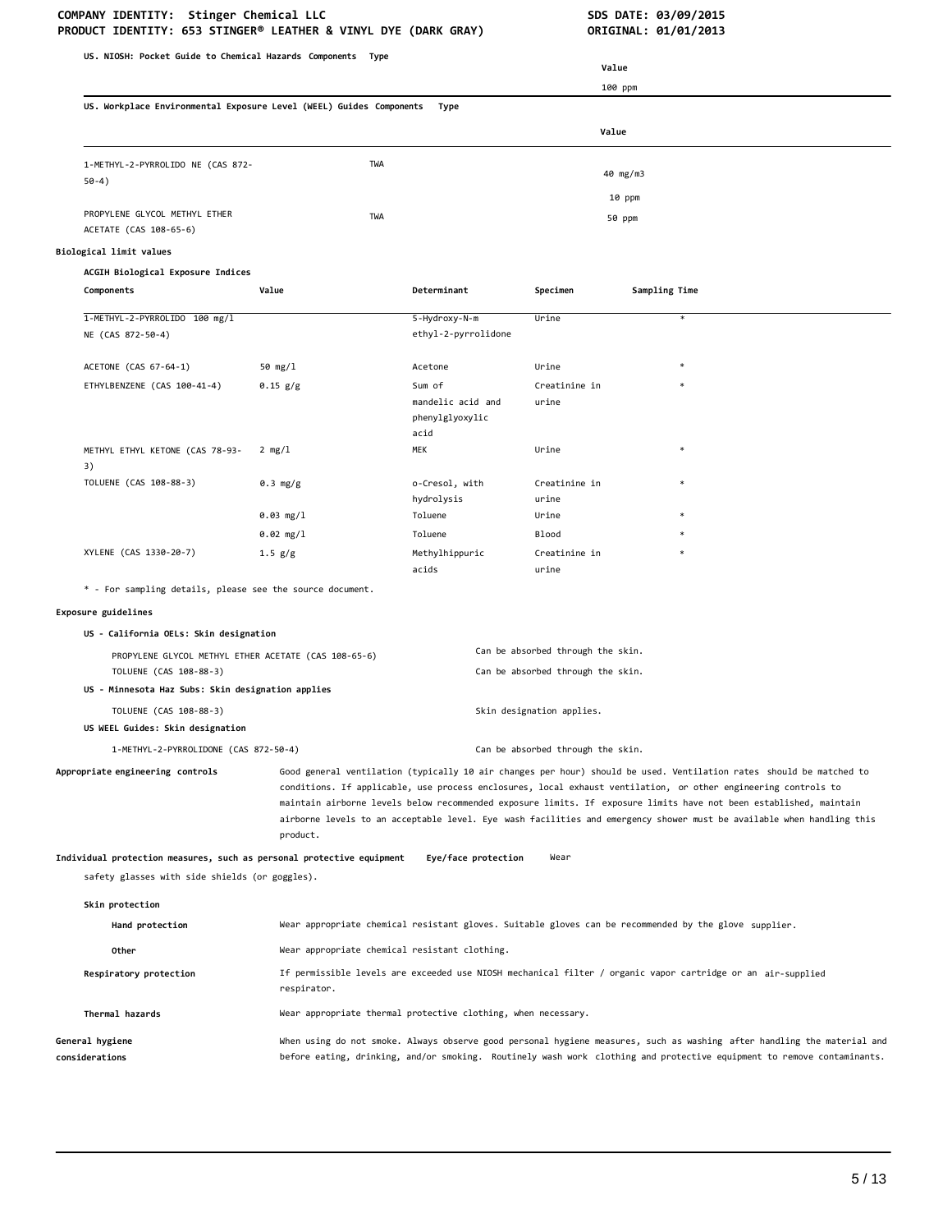# COMPANY IDENTITY: Stinger Chemical LLC<br>PRODUCT IDENTITY: 653 STINGER® LEATHER & VINYL DYE (DARK GRAY) **SOME ORIGINAL: 01/01/2013**

| PRODUCT IDENTITY: 653 STINGER® LEATHER & VINYL DYE (DARK GRAY)                 |                                                                                                                                                                                                                                                                                                                                                                                                                                                                                                  |                                                                                                             |                                                                        | ORIGINAL: 01/01/2013                                                                                  |
|--------------------------------------------------------------------------------|--------------------------------------------------------------------------------------------------------------------------------------------------------------------------------------------------------------------------------------------------------------------------------------------------------------------------------------------------------------------------------------------------------------------------------------------------------------------------------------------------|-------------------------------------------------------------------------------------------------------------|------------------------------------------------------------------------|-------------------------------------------------------------------------------------------------------|
| US. NIOSH: Pocket Guide to Chemical Hazards Components Type                    |                                                                                                                                                                                                                                                                                                                                                                                                                                                                                                  |                                                                                                             |                                                                        |                                                                                                       |
|                                                                                |                                                                                                                                                                                                                                                                                                                                                                                                                                                                                                  |                                                                                                             | Value                                                                  |                                                                                                       |
|                                                                                |                                                                                                                                                                                                                                                                                                                                                                                                                                                                                                  |                                                                                                             | 100 ppm                                                                |                                                                                                       |
| US. Workplace Environmental Exposure Level (WEEL) Guides Components            |                                                                                                                                                                                                                                                                                                                                                                                                                                                                                                  | Type                                                                                                        |                                                                        |                                                                                                       |
|                                                                                |                                                                                                                                                                                                                                                                                                                                                                                                                                                                                                  |                                                                                                             | Value                                                                  |                                                                                                       |
| 1-METHYL-2-PYRROLIDO NE (CAS 872-                                              | TWA                                                                                                                                                                                                                                                                                                                                                                                                                                                                                              |                                                                                                             |                                                                        |                                                                                                       |
| $50-4)$                                                                        |                                                                                                                                                                                                                                                                                                                                                                                                                                                                                                  |                                                                                                             |                                                                        | 40 mg/m3                                                                                              |
|                                                                                |                                                                                                                                                                                                                                                                                                                                                                                                                                                                                                  |                                                                                                             |                                                                        | 10 ppm                                                                                                |
| PROPYLENE GLYCOL METHYL ETHER<br>ACETATE (CAS 108-65-6)                        | TWA                                                                                                                                                                                                                                                                                                                                                                                                                                                                                              |                                                                                                             |                                                                        | 50 ppm                                                                                                |
|                                                                                |                                                                                                                                                                                                                                                                                                                                                                                                                                                                                                  |                                                                                                             |                                                                        |                                                                                                       |
| Biological limit values                                                        |                                                                                                                                                                                                                                                                                                                                                                                                                                                                                                  |                                                                                                             |                                                                        |                                                                                                       |
| ACGIH Biological Exposure Indices<br>Components                                | Value                                                                                                                                                                                                                                                                                                                                                                                                                                                                                            | Determinant                                                                                                 | Specimen                                                               | Sampling Time                                                                                         |
|                                                                                |                                                                                                                                                                                                                                                                                                                                                                                                                                                                                                  |                                                                                                             |                                                                        |                                                                                                       |
| 1-METHYL-2-PYRROLIDO 100 mg/l<br>NE (CAS 872-50-4)                             |                                                                                                                                                                                                                                                                                                                                                                                                                                                                                                  | 5-Hydroxy-N-m<br>ethyl-2-pyrrolidone                                                                        | Urine                                                                  | $\ast$                                                                                                |
| ACETONE (CAS 67-64-1)                                                          | 50 $mg/1$                                                                                                                                                                                                                                                                                                                                                                                                                                                                                        | Acetone                                                                                                     | Urine                                                                  |                                                                                                       |
| ETHYLBENZENE (CAS 100-41-4)                                                    | 0.15 g/g                                                                                                                                                                                                                                                                                                                                                                                                                                                                                         | Sum of                                                                                                      | Creatinine in                                                          |                                                                                                       |
|                                                                                |                                                                                                                                                                                                                                                                                                                                                                                                                                                                                                  | mandelic acid and<br>phenylglyoxylic<br>acid                                                                | urine                                                                  |                                                                                                       |
| METHYL ETHYL KETONE (CAS 78-93-                                                | $2 \text{ mg}/1$                                                                                                                                                                                                                                                                                                                                                                                                                                                                                 | MEK                                                                                                         | Urine                                                                  |                                                                                                       |
| 3)                                                                             |                                                                                                                                                                                                                                                                                                                                                                                                                                                                                                  |                                                                                                             |                                                                        |                                                                                                       |
| TOLUENE (CAS 108-88-3)                                                         | 0.3 mg/g                                                                                                                                                                                                                                                                                                                                                                                                                                                                                         | o-Cresol, with<br>hydrolysis                                                                                | Creatinine in<br>urine                                                 |                                                                                                       |
|                                                                                | 0.03 mg/1                                                                                                                                                                                                                                                                                                                                                                                                                                                                                        | Toluene                                                                                                     | Urine                                                                  |                                                                                                       |
|                                                                                | $0.02$ mg/l                                                                                                                                                                                                                                                                                                                                                                                                                                                                                      | Toluene                                                                                                     | <b>Blood</b>                                                           |                                                                                                       |
| XYLENE (CAS 1330-20-7)                                                         | 1.5 g/g                                                                                                                                                                                                                                                                                                                                                                                                                                                                                          | Methylhippuric<br>acids                                                                                     | Creatinine in<br>urine                                                 |                                                                                                       |
| * - For sampling details, please see the source document.                      |                                                                                                                                                                                                                                                                                                                                                                                                                                                                                                  |                                                                                                             |                                                                        |                                                                                                       |
| Exposure guidelines                                                            |                                                                                                                                                                                                                                                                                                                                                                                                                                                                                                  |                                                                                                             |                                                                        |                                                                                                       |
| US - California OELs: Skin designation                                         |                                                                                                                                                                                                                                                                                                                                                                                                                                                                                                  |                                                                                                             |                                                                        |                                                                                                       |
| PROPYLENE GLYCOL METHYL ETHER ACETATE (CAS 108-65-6)<br>TOLUENE (CAS 108-88-3) |                                                                                                                                                                                                                                                                                                                                                                                                                                                                                                  |                                                                                                             | Can be absorbed through the skin.<br>Can be absorbed through the skin. |                                                                                                       |
| US - Minnesota Haz Subs: Skin designation applies                              |                                                                                                                                                                                                                                                                                                                                                                                                                                                                                                  |                                                                                                             |                                                                        |                                                                                                       |
| TOLUENE (CAS 108-88-3)                                                         |                                                                                                                                                                                                                                                                                                                                                                                                                                                                                                  |                                                                                                             | Skin designation applies.                                              |                                                                                                       |
| US WEEL Guides: Skin designation                                               |                                                                                                                                                                                                                                                                                                                                                                                                                                                                                                  |                                                                                                             |                                                                        |                                                                                                       |
|                                                                                | Can be absorbed through the skin.<br>1-METHYL-2-PYRROLIDONE (CAS 872-50-4)                                                                                                                                                                                                                                                                                                                                                                                                                       |                                                                                                             |                                                                        |                                                                                                       |
| Appropriate engineering controls                                               | Good general ventilation (typically 10 air changes per hour) should be used. Ventilation rates should be matched to<br>conditions. If applicable, use process enclosures, local exhaust ventilation, or other engineering controls to<br>maintain airborne levels below recommended exposure limits. If exposure limits have not been established, maintain<br>airborne levels to an acceptable level. Eye wash facilities and emergency shower must be available when handling this<br>product. |                                                                                                             |                                                                        |                                                                                                       |
| Individual protection measures, such as personal protective equipment          |                                                                                                                                                                                                                                                                                                                                                                                                                                                                                                  | Eye/face protection                                                                                         | Wear                                                                   |                                                                                                       |
| safety glasses with side shields (or goggles).                                 |                                                                                                                                                                                                                                                                                                                                                                                                                                                                                                  |                                                                                                             |                                                                        |                                                                                                       |
| Skin protection                                                                |                                                                                                                                                                                                                                                                                                                                                                                                                                                                                                  |                                                                                                             |                                                                        |                                                                                                       |
| Hand protection                                                                |                                                                                                                                                                                                                                                                                                                                                                                                                                                                                                  |                                                                                                             |                                                                        | Wear appropriate chemical resistant gloves. Suitable gloves can be recommended by the glove supplier. |
| Other                                                                          | Wear appropriate chemical resistant clothing.                                                                                                                                                                                                                                                                                                                                                                                                                                                    |                                                                                                             |                                                                        |                                                                                                       |
| Respiratory protection                                                         | respirator.                                                                                                                                                                                                                                                                                                                                                                                                                                                                                      | If permissible levels are exceeded use NIOSH mechanical filter / organic vapor cartridge or an air-supplied |                                                                        |                                                                                                       |
| Thermal hazards                                                                | Wear appropriate thermal protective clothing, when necessary.                                                                                                                                                                                                                                                                                                                                                                                                                                    |                                                                                                             |                                                                        |                                                                                                       |
| General hygiene<br>considerations                                              | When using do not smoke. Always observe good personal hygiene measures, such as washing after handling the material and<br>before eating, drinking, and/or smoking. Routinely wash work clothing and protective equipment to remove contaminants.                                                                                                                                                                                                                                                |                                                                                                             |                                                                        |                                                                                                       |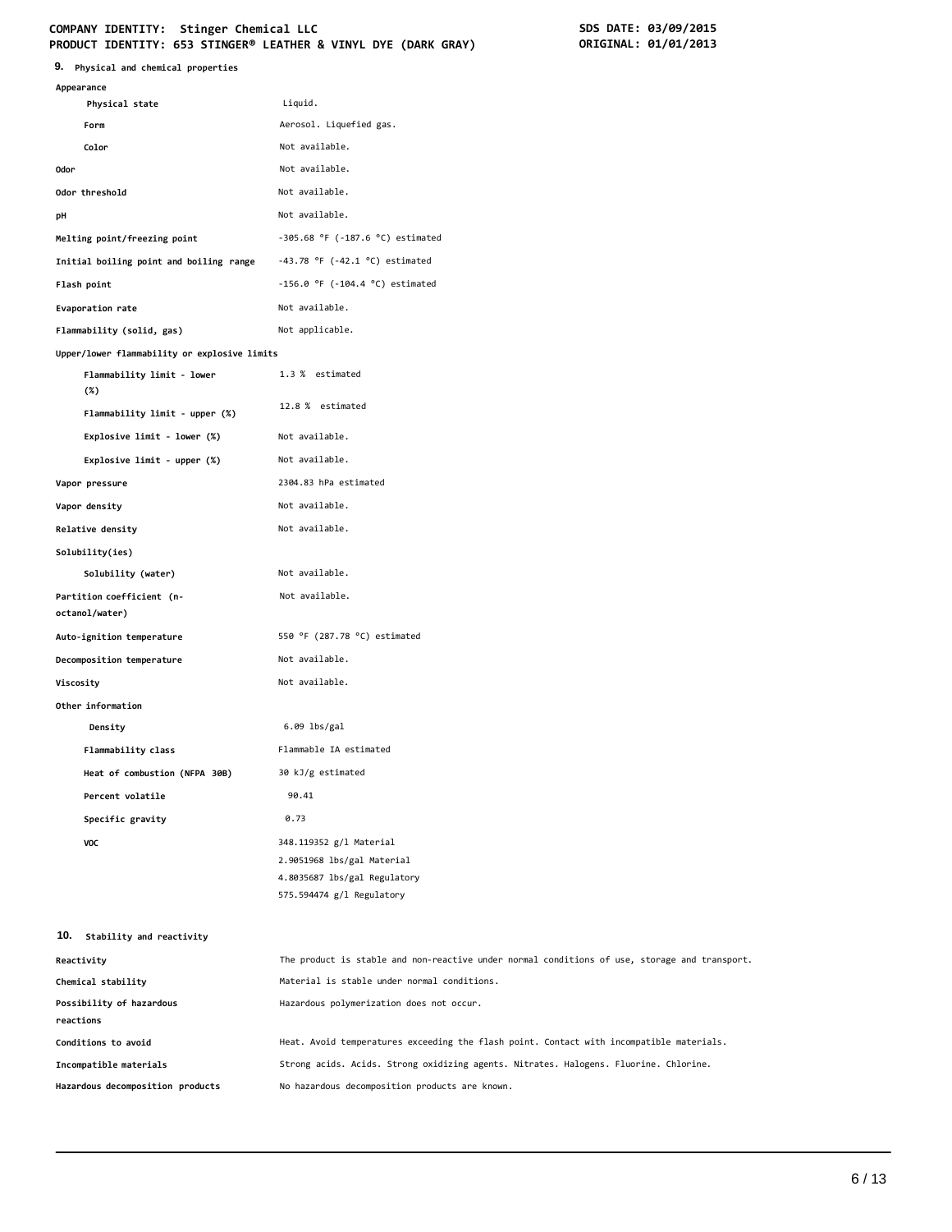## **COMPANY IDENTITY: Stinger Chemical LLC SDS DATE: 03/09/2015**

| 9. Physical and chemical properties          |                                       |  |  |
|----------------------------------------------|---------------------------------------|--|--|
| Appearance                                   |                                       |  |  |
| Physical state                               | Liquid.                               |  |  |
| Form                                         | Aerosol. Liquefied gas.               |  |  |
| Color                                        | Not available.                        |  |  |
| 0dor                                         | Not available.                        |  |  |
| Odor threshold                               | Not available.                        |  |  |
| pH                                           | Not available.                        |  |  |
| Melting point/freezing point                 | $-305.68$ °F ( $-187.6$ °C) estimated |  |  |
| Initial boiling point and boiling range      | $-43.78$ °F ( $-42.1$ °C) estimated   |  |  |
| Flash point                                  | $-156.0$ °F ( $-104.4$ °C) estimated  |  |  |
| Evaporation rate                             | Not available.                        |  |  |
| Flammability (solid, gas)                    | Not applicable.                       |  |  |
| Upper/lower flammability or explosive limits |                                       |  |  |
| Flammability limit - lower<br>$(\%)$         | 1.3 % estimated                       |  |  |
| Flammability limit - upper (%)               | 12.8 % estimated                      |  |  |
| Explosive limit - lower (%)                  | Not available.                        |  |  |
| Explosive limit - upper (%)                  | Not available.                        |  |  |
| Vapor pressure                               | 2304.83 hPa estimated                 |  |  |
| Vapor density                                | Not available.                        |  |  |
| Relative density                             | Not available.                        |  |  |
| Solubility(ies)                              |                                       |  |  |
| Solubility (water)                           | Not available.                        |  |  |
| Partition coefficient (n-<br>octanol/water)  | Not available.                        |  |  |
| Auto-ignition temperature                    | 550 °F (287.78 °C) estimated          |  |  |
| Decomposition temperature                    | Not available.                        |  |  |
| Viscosity                                    | Not available.                        |  |  |
| Other information                            |                                       |  |  |
| Density                                      | 6.09 lbs/gal                          |  |  |
| Flammability class                           | Flammable IA estimated                |  |  |
| Heat of combustion (NFPA 30B)                | 30 kJ/g estimated                     |  |  |
| Percent volatile                             | 90.41                                 |  |  |
| Specific gravity                             | 0.73                                  |  |  |
| VOC                                          | 348.119352 g/l Material               |  |  |
|                                              | 2.9051968 lbs/gal Material            |  |  |
|                                              | 4.8035687 lbs/gal Regulatory          |  |  |
|                                              | 575.594474 g/l Regulatory             |  |  |

| Reactivitv                       | The product is stable and non-reactive under normal conditions of use, storage and transport. |
|----------------------------------|-----------------------------------------------------------------------------------------------|
| Chemical stability               | Material is stable under normal conditions.                                                   |
| Possibility of hazardous         | Hazardous polymerization does not occur.                                                      |
| reactions                        |                                                                                               |
| Conditions to avoid              | Heat. Avoid temperatures exceeding the flash point. Contact with incompatible materials.      |
| Incompatible materials           | Strong acids. Acids. Strong oxidizing agents. Nitrates. Halogens. Fluorine. Chlorine.         |
| Hazardous decomposition products | No hazardous decomposition products are known.                                                |
|                                  |                                                                                               |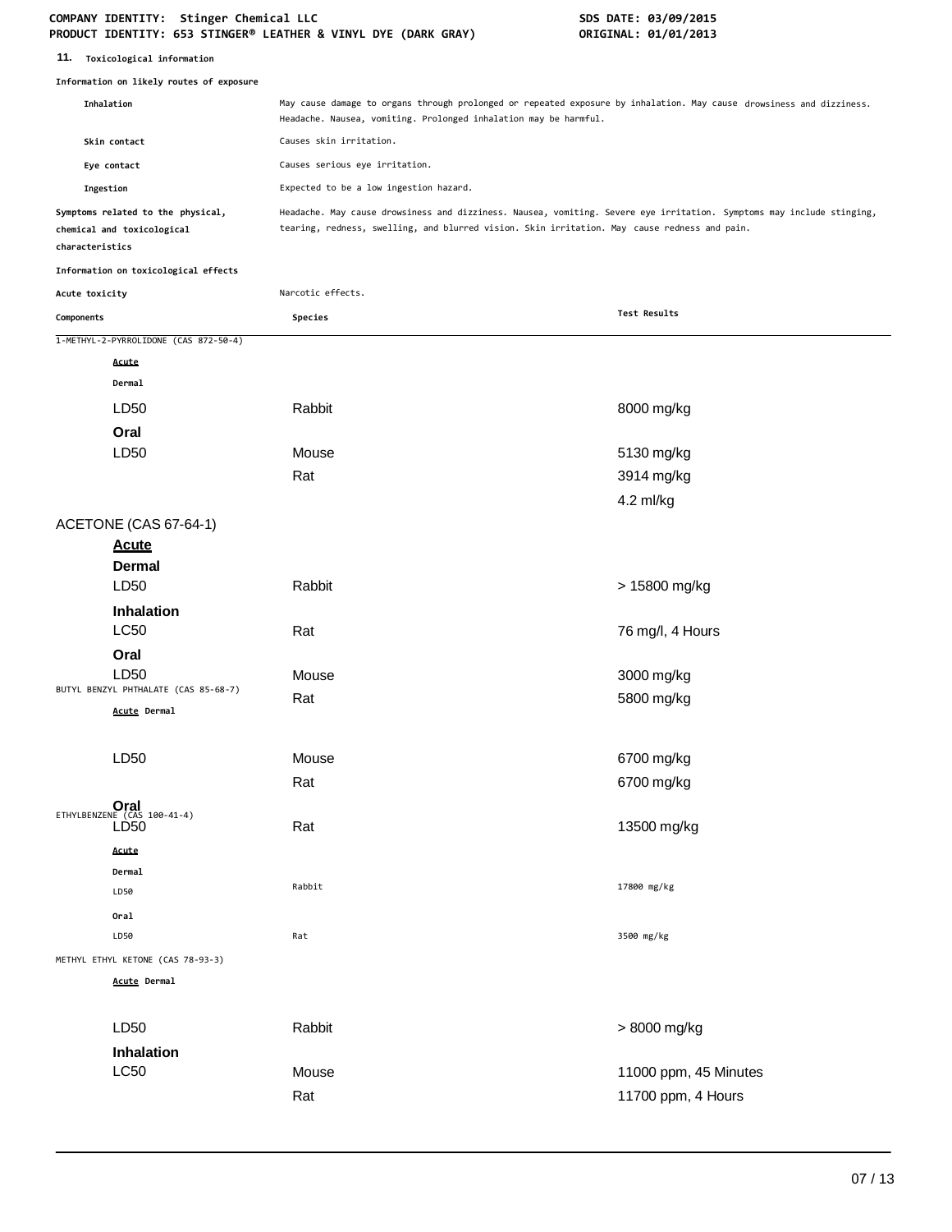### **COMPANY IDENTITY: Stinger Chemical LLC SDS DATE: 03/09/2015 PRODUCT IDENTITY: 653 STINGER® LEATHER & VINYL DYE (DARK GRAY) ORIGINAL: 01/01/2013**

**11. Toxicological information**

|                 | Information on likely routes of exposure                        |                                                                                                                                                                                                                       |                       |  |
|-----------------|-----------------------------------------------------------------|-----------------------------------------------------------------------------------------------------------------------------------------------------------------------------------------------------------------------|-----------------------|--|
| Inhalation      |                                                                 | May cause damage to organs through prolonged or repeated exposure by inhalation. May cause drowsiness and dizziness.<br>Headache. Nausea, vomiting. Prolonged inhalation may be harmful.                              |                       |  |
|                 | Skin contact                                                    | Causes skin irritation.                                                                                                                                                                                               |                       |  |
|                 | Causes serious eye irritation.<br>Eye contact                   |                                                                                                                                                                                                                       |                       |  |
| Ingestion       |                                                                 | Expected to be a low ingestion hazard.                                                                                                                                                                                |                       |  |
| characteristics | Symptoms related to the physical,<br>chemical and toxicological | Headache. May cause drowsiness and dizziness. Nausea, vomiting. Severe eye irritation. Symptoms may include stinging,<br>tearing, redness, swelling, and blurred vision. Skin irritation. May cause redness and pain. |                       |  |
|                 | Information on toxicological effects                            |                                                                                                                                                                                                                       |                       |  |
| Acute toxicity  |                                                                 | Narcotic effects.                                                                                                                                                                                                     |                       |  |
| Components      |                                                                 | Species                                                                                                                                                                                                               | Test Results          |  |
|                 | 1-METHYL-2-PYRROLIDONE (CAS 872-50-4)                           |                                                                                                                                                                                                                       |                       |  |
|                 | Acute                                                           |                                                                                                                                                                                                                       |                       |  |
|                 | Dermal                                                          |                                                                                                                                                                                                                       |                       |  |
|                 | LD50                                                            | Rabbit                                                                                                                                                                                                                | 8000 mg/kg            |  |
|                 | Oral                                                            |                                                                                                                                                                                                                       |                       |  |
|                 | LD <sub>50</sub>                                                | Mouse                                                                                                                                                                                                                 | 5130 mg/kg            |  |
|                 |                                                                 | Rat                                                                                                                                                                                                                   | 3914 mg/kg            |  |
|                 |                                                                 |                                                                                                                                                                                                                       | 4.2 ml/kg             |  |
|                 | ACETONE (CAS 67-64-1)                                           |                                                                                                                                                                                                                       |                       |  |
|                 | <b>Acute</b>                                                    |                                                                                                                                                                                                                       |                       |  |
|                 | <b>Dermal</b>                                                   |                                                                                                                                                                                                                       |                       |  |
|                 | LD50                                                            | Rabbit                                                                                                                                                                                                                | > 15800 mg/kg         |  |
|                 | Inhalation                                                      |                                                                                                                                                                                                                       |                       |  |
|                 | <b>LC50</b>                                                     | Rat                                                                                                                                                                                                                   | 76 mg/l, 4 Hours      |  |
|                 | Oral                                                            |                                                                                                                                                                                                                       |                       |  |
|                 | LD50<br>BUTYL BENZYL PHTHALATE (CAS 85-68-7)                    | Mouse                                                                                                                                                                                                                 | 3000 mg/kg            |  |
|                 | Acute Dermal                                                    | Rat                                                                                                                                                                                                                   | 5800 mg/kg            |  |
|                 |                                                                 |                                                                                                                                                                                                                       |                       |  |
|                 | LD <sub>50</sub>                                                | Mouse                                                                                                                                                                                                                 | 6700 mg/kg            |  |
|                 |                                                                 | Rat                                                                                                                                                                                                                   | 6700 mg/kg            |  |
|                 |                                                                 |                                                                                                                                                                                                                       |                       |  |
|                 | ETHYLBENZENE $(CAS 100-41-4)$<br>LD <sub>50</sub>               | Rat                                                                                                                                                                                                                   | 13500 mg/kg           |  |
|                 | Acute                                                           |                                                                                                                                                                                                                       |                       |  |
|                 | Dermal                                                          |                                                                                                                                                                                                                       |                       |  |
|                 | LD50                                                            | Rabbit                                                                                                                                                                                                                | 17800 mg/kg           |  |
|                 | Oral                                                            |                                                                                                                                                                                                                       |                       |  |
|                 | LD50                                                            | Rat                                                                                                                                                                                                                   | 3500 mg/kg            |  |
|                 | METHYL ETHYL KETONE (CAS 78-93-3)                               |                                                                                                                                                                                                                       |                       |  |
|                 | <b>Acute Dermal</b>                                             |                                                                                                                                                                                                                       |                       |  |
|                 | LD50                                                            | Rabbit                                                                                                                                                                                                                |                       |  |
|                 |                                                                 |                                                                                                                                                                                                                       | > 8000 mg/kg          |  |
|                 | Inhalation<br><b>LC50</b>                                       | Mouse                                                                                                                                                                                                                 | 11000 ppm, 45 Minutes |  |
|                 |                                                                 |                                                                                                                                                                                                                       |                       |  |
|                 |                                                                 | Rat                                                                                                                                                                                                                   | 11700 ppm, 4 Hours    |  |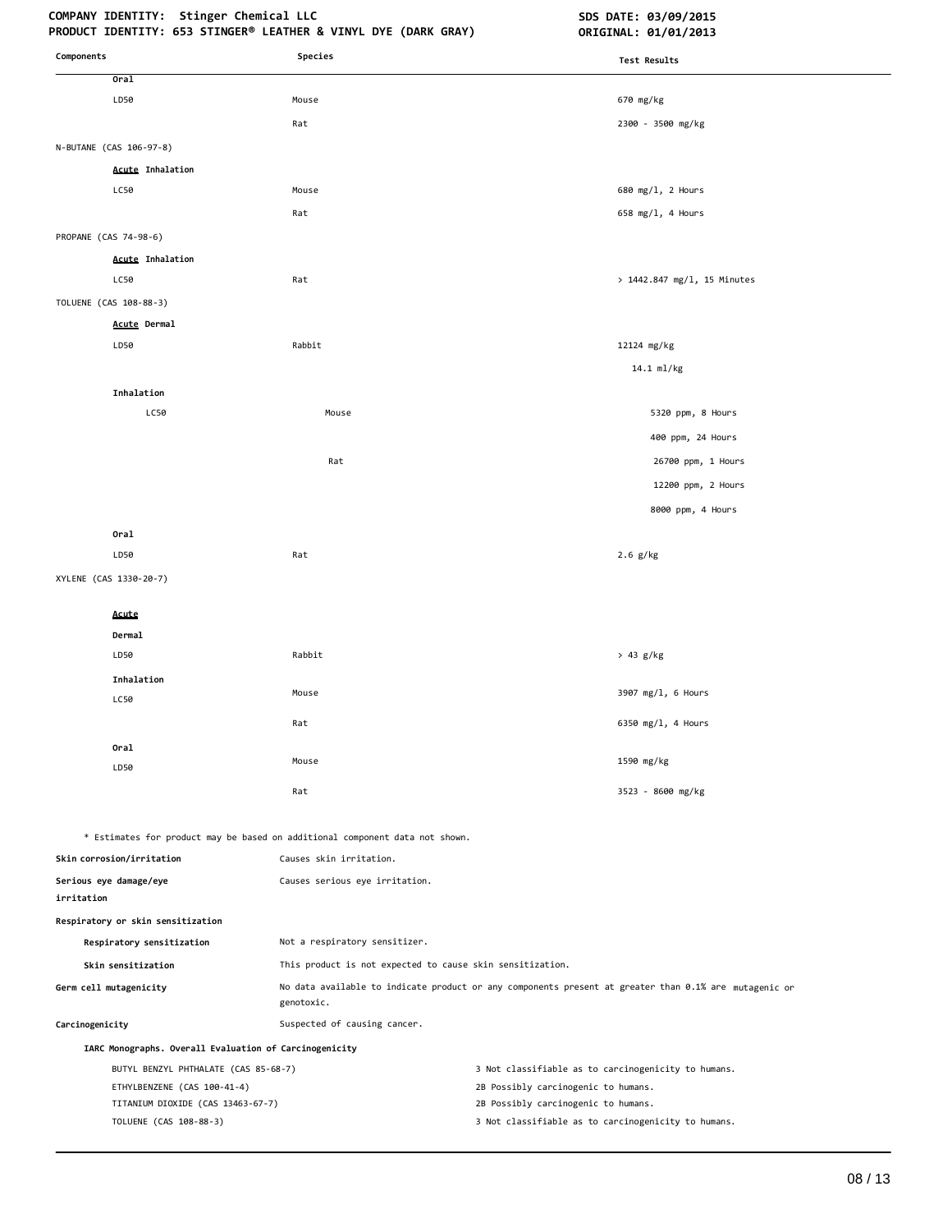## **COMPANY IDENTITY: Stinger Chemical LLC SDS DATE: 03/09/2015**

| Components                                             | PRODUCT IDENTITY: 653 STINGER® LEATHER & VINYL DYE (DARK GRAY)<br>Species                               | ORIGINAL: 01/01/2013                                                                                  |
|--------------------------------------------------------|---------------------------------------------------------------------------------------------------------|-------------------------------------------------------------------------------------------------------|
|                                                        |                                                                                                         | <b>Test Results</b>                                                                                   |
| Oral<br>LD50                                           | Mouse                                                                                                   | 670 mg/kg                                                                                             |
|                                                        | Rat                                                                                                     | 2300 - 3500 mg/kg                                                                                     |
|                                                        |                                                                                                         |                                                                                                       |
| N-BUTANE (CAS 106-97-8)                                |                                                                                                         |                                                                                                       |
| <b>Acute Inhalation</b><br>LC50                        | Mouse                                                                                                   | 680 mg/l, 2 Hours                                                                                     |
|                                                        | Rat                                                                                                     | 658 mg/l, 4 Hours                                                                                     |
| PROPANE (CAS 74-98-6)                                  |                                                                                                         |                                                                                                       |
| <b>Acute Inhalation</b>                                |                                                                                                         |                                                                                                       |
| LC50                                                   | Rat                                                                                                     | > 1442.847 mg/l, 15 Minutes                                                                           |
| TOLUENE (CAS 108-88-3)                                 |                                                                                                         |                                                                                                       |
| Acute Dermal                                           |                                                                                                         |                                                                                                       |
| LD50                                                   | Rabbit                                                                                                  | 12124 mg/kg                                                                                           |
|                                                        |                                                                                                         | 14.1 ml/kg                                                                                            |
| Inhalation                                             |                                                                                                         |                                                                                                       |
| LC50                                                   | Mouse                                                                                                   | 5320 ppm, 8 Hours                                                                                     |
|                                                        |                                                                                                         | 400 ppm, 24 Hours                                                                                     |
|                                                        | Rat                                                                                                     | 26700 ppm, 1 Hours                                                                                    |
|                                                        |                                                                                                         | 12200 ppm, 2 Hours                                                                                    |
|                                                        |                                                                                                         |                                                                                                       |
|                                                        |                                                                                                         | 8000 ppm, 4 Hours                                                                                     |
| Oral                                                   | Rat                                                                                                     |                                                                                                       |
| LD50                                                   |                                                                                                         | $2.6$ g/kg                                                                                            |
| XYLENE (CAS 1330-20-7)                                 |                                                                                                         |                                                                                                       |
| Acute                                                  |                                                                                                         |                                                                                                       |
| Dermal                                                 |                                                                                                         |                                                                                                       |
| LD50                                                   | Rabbit                                                                                                  | > 43 g/kg                                                                                             |
| Inhalation                                             |                                                                                                         |                                                                                                       |
| LC50                                                   | Mouse                                                                                                   | 3907 mg/l, 6 Hours                                                                                    |
|                                                        | Rat                                                                                                     | 6350 mg/l, 4 Hours                                                                                    |
| Oral                                                   |                                                                                                         |                                                                                                       |
| LD50                                                   | Mouse                                                                                                   | 1590 mg/kg                                                                                            |
|                                                        | Rat                                                                                                     | 3523 - 8600 mg/kg                                                                                     |
|                                                        |                                                                                                         |                                                                                                       |
| Skin corrosion/irritation                              | * Estimates for product may be based on additional component data not shown.<br>Causes skin irritation. |                                                                                                       |
|                                                        |                                                                                                         |                                                                                                       |
| Serious eye damage/eye<br>irritation                   | Causes serious eye irritation.                                                                          |                                                                                                       |
| Respiratory or skin sensitization                      |                                                                                                         |                                                                                                       |
| Respiratory sensitization                              | Not a respiratory sensitizer.                                                                           |                                                                                                       |
| Skin sensitization                                     | This product is not expected to cause skin sensitization.                                               |                                                                                                       |
| Germ cell mutagenicity                                 | genotoxic.                                                                                              | No data available to indicate product or any components present at greater than 0.1% are mutagenic or |
| Carcinogenicity                                        | Suspected of causing cancer.                                                                            |                                                                                                       |
| IARC Monographs. Overall Evaluation of Carcinogenicity |                                                                                                         |                                                                                                       |
| BUTYL BENZYL PHTHALATE (CAS 85-68-7)                   |                                                                                                         | 3 Not classifiable as to carcinogenicity to humans.                                                   |
| ETHYLBENZENE (CAS 100-41-4)                            |                                                                                                         | 2B Possibly carcinogenic to humans.                                                                   |
| TITANIUM DIOXIDE (CAS 13463-67-7)                      |                                                                                                         | 2B Possibly carcinogenic to humans.                                                                   |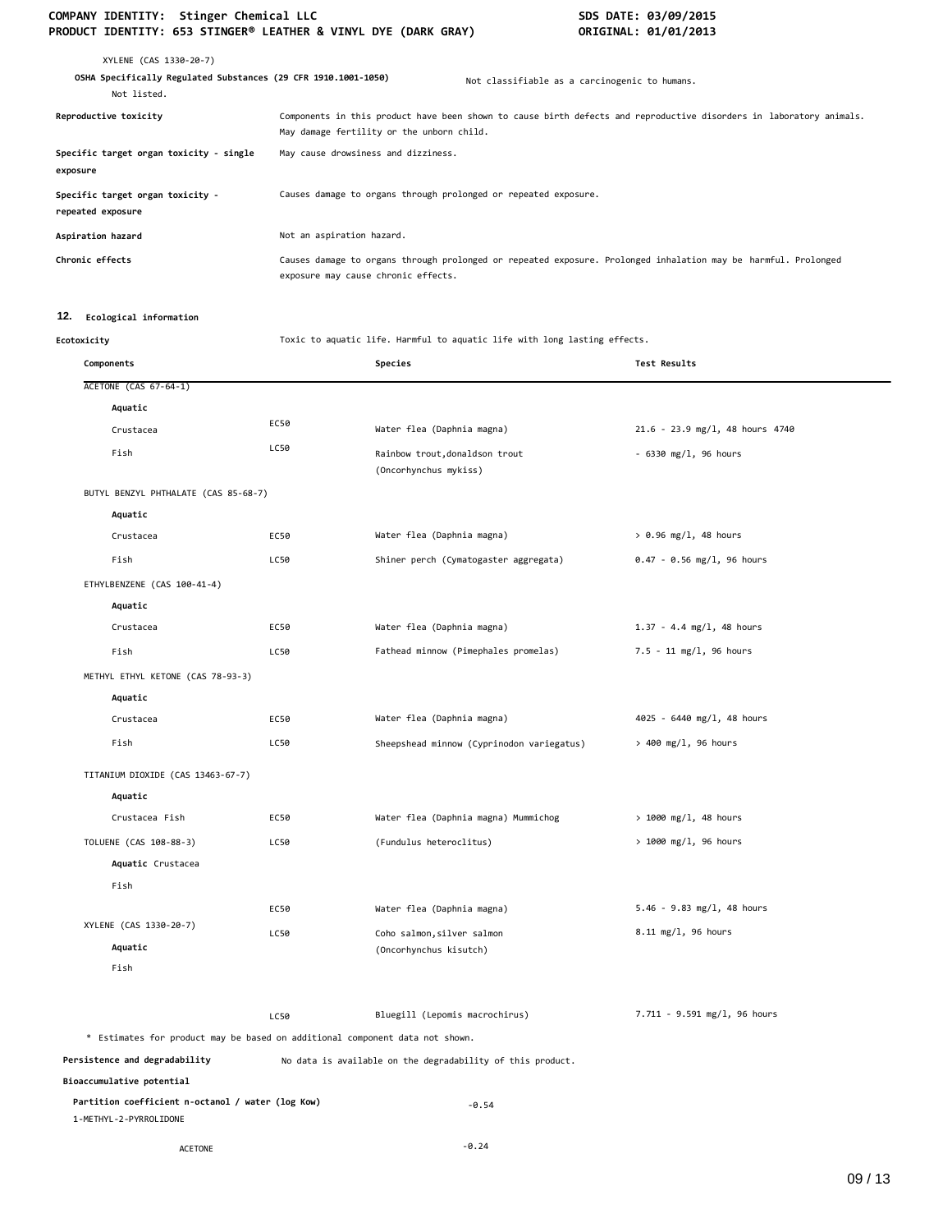## COMPANY IDENTITY: Stinger Chemical LLC **SDS DATE: 03/09/2015 PRODUCT IDENTITY: 653 STINGER® LEATHER & VINYL DYE (DARK GRAY) <b>DRIGINAL: 01/01/2013**

| XYLENE (CAS 1330-20-7)<br>OSHA Specifically Regulated Substances (29 CFR 1910.1001-1050)<br>Not listed. | Not classifiable as a carcinogenic to humans.                                                                                                                    |
|---------------------------------------------------------------------------------------------------------|------------------------------------------------------------------------------------------------------------------------------------------------------------------|
| Reproductive toxicity                                                                                   | Components in this product have been shown to cause birth defects and reproductive disorders in laboratory animals.<br>May damage fertility or the unborn child. |
| Specific target organ toxicity - single<br>exposure                                                     | May cause drowsiness and dizziness.                                                                                                                              |
| Specific target organ toxicity -<br>repeated exposure                                                   | Causes damage to organs through prolonged or repeated exposure.                                                                                                  |
| Aspiration hazard                                                                                       | Not an aspiration hazard.                                                                                                                                        |
| Chronic effects                                                                                         | Causes damage to organs through prolonged or repeated exposure. Prolonged inhalation may be harmful. Prolonged<br>exposure may cause chronic effects.            |

### **12. Ecological information**

**Ecotoxicity** Toxic to aquatic life. Harmful to aquatic life with long lasting effects.

| Components                                                                   |      | Species                                                    | <b>Test Results</b>             |
|------------------------------------------------------------------------------|------|------------------------------------------------------------|---------------------------------|
| ACETONE (CAS 67-64-1)                                                        |      |                                                            |                                 |
| Aquatic                                                                      |      |                                                            |                                 |
| Crustacea                                                                    | EC50 | Water flea (Daphnia magna)                                 | 21.6 - 23.9 mg/l, 48 hours 4740 |
| Fish                                                                         | LC50 | Rainbow trout, donaldson trout<br>(Oncorhynchus mykiss)    | $-6330$ mg/l, 96 hours          |
| BUTYL BENZYL PHTHALATE (CAS 85-68-7)                                         |      |                                                            |                                 |
| Aquatic                                                                      |      |                                                            |                                 |
| Crustacea                                                                    | EC50 | Water flea (Daphnia magna)                                 | $> 0.96$ mg/l, 48 hours         |
| Fish                                                                         | LC50 | Shiner perch (Cymatogaster aggregata)                      | $0.47 - 0.56$ mg/l, 96 hours    |
| ETHYLBENZENE (CAS 100-41-4)                                                  |      |                                                            |                                 |
| Aquatic                                                                      |      |                                                            |                                 |
| Crustacea                                                                    | EC50 | Water flea (Daphnia magna)                                 | $1.37 - 4.4$ mg/l, 48 hours     |
| Fish                                                                         | LC50 | Fathead minnow (Pimephales promelas)                       | 7.5 - 11 mg/l, 96 hours         |
| METHYL ETHYL KETONE (CAS 78-93-3)                                            |      |                                                            |                                 |
| Aquatic                                                                      |      |                                                            |                                 |
| Crustacea                                                                    | EC50 | Water flea (Daphnia magna)                                 | 4025 - 6440 mg/l, 48 hours      |
| Fish                                                                         | LC50 | Sheepshead minnow (Cyprinodon variegatus)                  | > 400 mg/l, 96 hours            |
| TITANIUM DIOXIDE (CAS 13463-67-7)                                            |      |                                                            |                                 |
| Aquatic                                                                      |      |                                                            |                                 |
| Crustacea Fish                                                               | EC50 | Water flea (Daphnia magna) Mummichog                       | $> 1000$ mg/l, 48 hours         |
| TOLUENE (CAS 108-88-3)                                                       | LC50 | (Fundulus heteroclitus)                                    | > 1000 mg/l, 96 hours           |
| Aquatic Crustacea                                                            |      |                                                            |                                 |
| Fish                                                                         |      |                                                            |                                 |
|                                                                              | EC50 | Water flea (Daphnia magna)                                 | $5.46 - 9.83$ mg/l, 48 hours    |
| XYLENE (CAS 1330-20-7)                                                       | LC50 | Coho salmon, silver salmon                                 | 8.11 mg/l, 96 hours             |
| Aquatic                                                                      |      | (Oncorhynchus kisutch)                                     |                                 |
| Fish                                                                         |      |                                                            |                                 |
|                                                                              | LC50 | Bluegill (Lepomis macrochirus)                             | 7.711 - 9.591 mg/l, 96 hours    |
| * Estimates for product may be based on additional component data not shown. |      |                                                            |                                 |
| Persistence and degradability                                                |      | No data is available on the degradability of this product. |                                 |
| Bioaccumulative potential                                                    |      |                                                            |                                 |
| Partition coefficient n-octanol / water (log Kow)<br>1-METHYL-2-PYRROLIDONE  |      | $-0.54$                                                    |                                 |
| <b>ACETONE</b>                                                               |      | $-0.24$                                                    |                                 |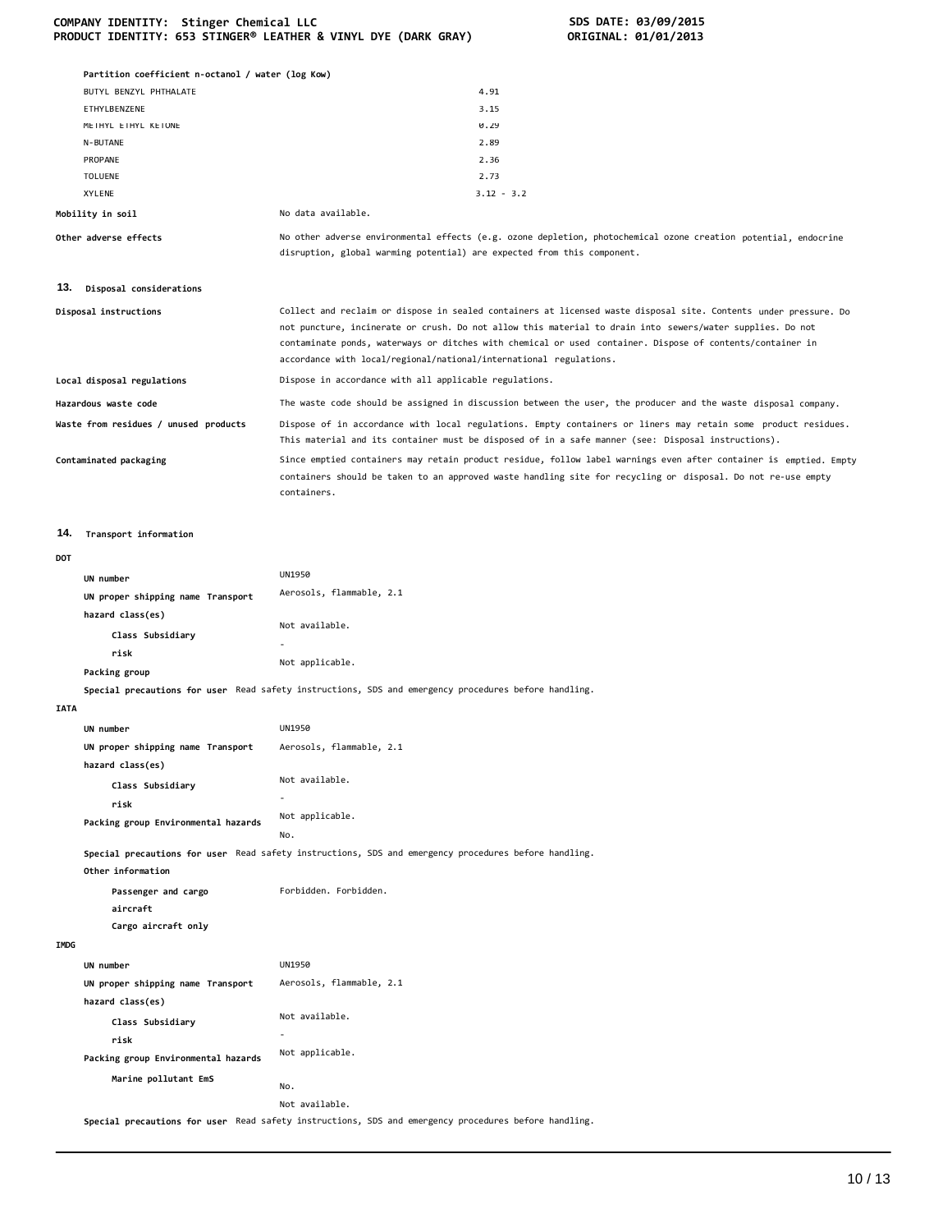| COMPANY IDENTITY: Stinger Chemical LLC                         |  |  |  |  |  |
|----------------------------------------------------------------|--|--|--|--|--|
| PRODUCT IDENTITY: 653 STINGER® LEATHER & VINYL DYE (DARK GRAY) |  |  |  |  |  |

**Packing group Environmental hazards Marine pollutant EmS**

Not applicable.

Not available. **Special precautions for user** Read safety instructions, SDS and emergency procedures before handling.

No.

**COMPANY IDENTITY: Stinger Chemical LLC SDS DATE: 03/09/2015 PRODUCT IDENTITY: 653 STINGER® LEATHER & VINYL DYE (DARK GRAY) ORIGINAL: 01/01/2013** 

|             | Partition coefficient n-octanol / water (log Kow) |                                                                                                                                                                                                                                                                                                                                                                                                                  |
|-------------|---------------------------------------------------|------------------------------------------------------------------------------------------------------------------------------------------------------------------------------------------------------------------------------------------------------------------------------------------------------------------------------------------------------------------------------------------------------------------|
|             | BUTYL BENZYL PHTHALATE                            | 4.91                                                                                                                                                                                                                                                                                                                                                                                                             |
|             | ETHYLBENZENE                                      | 3.15                                                                                                                                                                                                                                                                                                                                                                                                             |
|             | METHYL ETHYL KETONE                               | 0.29                                                                                                                                                                                                                                                                                                                                                                                                             |
|             | N-BUTANE                                          | 2.89                                                                                                                                                                                                                                                                                                                                                                                                             |
|             | PROPANE                                           | 2.36                                                                                                                                                                                                                                                                                                                                                                                                             |
|             | <b>TOLUENE</b><br>XYLENE                          | 2.73<br>$3.12 - 3.2$                                                                                                                                                                                                                                                                                                                                                                                             |
|             | Mobility in soil                                  | No data available.                                                                                                                                                                                                                                                                                                                                                                                               |
|             |                                                   |                                                                                                                                                                                                                                                                                                                                                                                                                  |
|             | Other adverse effects                             | No other adverse environmental effects (e.g. ozone depletion, photochemical ozone creation potential, endocrine<br>disruption, global warming potential) are expected from this component.                                                                                                                                                                                                                       |
| 13.         | Disposal considerations                           |                                                                                                                                                                                                                                                                                                                                                                                                                  |
|             | Disposal instructions                             | Collect and reclaim or dispose in sealed containers at licensed waste disposal site. Contents under pressure. Do<br>not puncture, incinerate or crush. Do not allow this material to drain into sewers/water supplies. Do not<br>contaminate ponds, waterways or ditches with chemical or used container. Dispose of contents/container in<br>accordance with local/regional/national/international regulations. |
|             | Local disposal regulations                        | Dispose in accordance with all applicable regulations.                                                                                                                                                                                                                                                                                                                                                           |
|             | Hazardous waste code                              | The waste code should be assigned in discussion between the user, the producer and the waste disposal company.                                                                                                                                                                                                                                                                                                   |
|             | Waste from residues / unused products             | Dispose of in accordance with local regulations. Empty containers or liners may retain some product residues.<br>This material and its container must be disposed of in a safe manner (see: Disposal instructions).                                                                                                                                                                                              |
|             | Contaminated packaging                            | Since emptied containers may retain product residue, follow label warnings even after container is emptied. Empty<br>containers should be taken to an approved waste handling site for recycling or disposal. Do not re-use empty<br>containers.                                                                                                                                                                 |
| 14.         | Transport information                             |                                                                                                                                                                                                                                                                                                                                                                                                                  |
| DOT         |                                                   |                                                                                                                                                                                                                                                                                                                                                                                                                  |
|             | UN number                                         | UN1950                                                                                                                                                                                                                                                                                                                                                                                                           |
|             | UN proper shipping name Transport                 | Aerosols, flammable, 2.1                                                                                                                                                                                                                                                                                                                                                                                         |
|             | hazard class(es)                                  |                                                                                                                                                                                                                                                                                                                                                                                                                  |
|             | Class Subsidiary                                  | Not available.                                                                                                                                                                                                                                                                                                                                                                                                   |
|             | risk                                              |                                                                                                                                                                                                                                                                                                                                                                                                                  |
|             | Packing group                                     | Not applicable.                                                                                                                                                                                                                                                                                                                                                                                                  |
|             |                                                   | Special precautions for user Read safety instructions, SDS and emergency procedures before handling.                                                                                                                                                                                                                                                                                                             |
| <b>IATA</b> |                                                   |                                                                                                                                                                                                                                                                                                                                                                                                                  |
|             | UN number                                         | UN1950                                                                                                                                                                                                                                                                                                                                                                                                           |
|             | UN proper shipping name Transport                 | Aerosols, flammable, 2.1                                                                                                                                                                                                                                                                                                                                                                                         |
|             | hazard class(es)                                  | Not available.                                                                                                                                                                                                                                                                                                                                                                                                   |
|             | Class Subsidiary                                  |                                                                                                                                                                                                                                                                                                                                                                                                                  |
|             | risk                                              | Not applicable.                                                                                                                                                                                                                                                                                                                                                                                                  |
|             | Packing group Environmental hazards               | No.                                                                                                                                                                                                                                                                                                                                                                                                              |
|             | Other information                                 | Special precautions for user Read safety instructions, SDS and emergency procedures before handling.                                                                                                                                                                                                                                                                                                             |
|             | Passenger and cargo<br>aircraft                   | Forbidden. Forbidden.                                                                                                                                                                                                                                                                                                                                                                                            |
|             | Cargo aircraft only                               |                                                                                                                                                                                                                                                                                                                                                                                                                  |
| IMDG        |                                                   |                                                                                                                                                                                                                                                                                                                                                                                                                  |
|             | UN number                                         | UN1950                                                                                                                                                                                                                                                                                                                                                                                                           |
|             | UN proper shipping name Transport                 | Aerosols, flammable, 2.1                                                                                                                                                                                                                                                                                                                                                                                         |
|             | hazard class(es)                                  |                                                                                                                                                                                                                                                                                                                                                                                                                  |
|             | Class Subsidiary                                  | Not available.                                                                                                                                                                                                                                                                                                                                                                                                   |
|             | risk                                              |                                                                                                                                                                                                                                                                                                                                                                                                                  |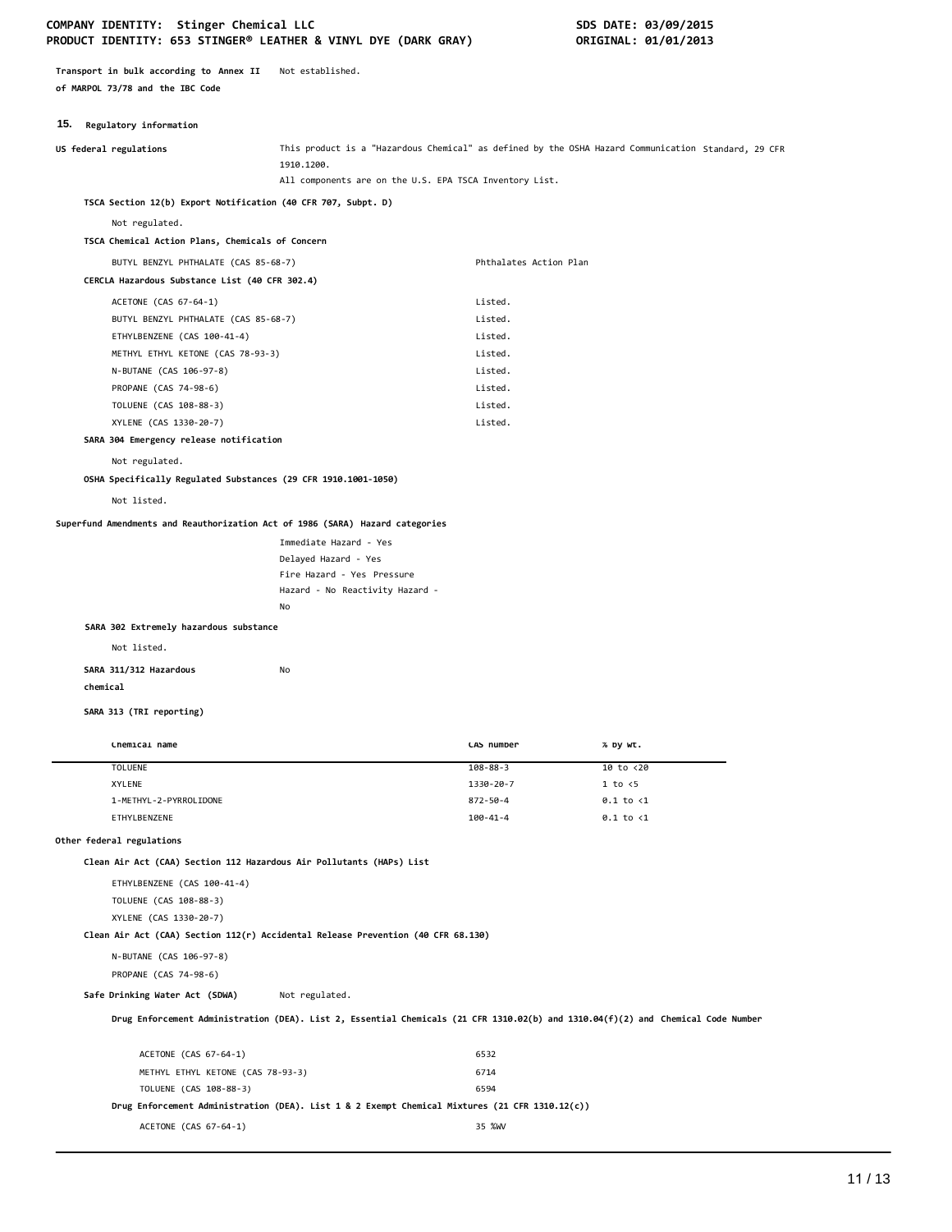### COMPANY IDENTITY: Stinger Chemical LLC **SDS DATE: 03/09/2015 PRODUCT IDENTITY: 653 STINGER® LEATHER & VINYL DYE (DARK GRAY) ORIGINAL: 01/01/2013**

**Transport in bulk according to Annex II** Not established. **of MARPOL 73/78 and the IBC Code**

### **15. Regulatory information**

| US federal regulations                                                           | 1910.1200.                                                                                                                       | This product is a "Hazardous Chemical" as defined by the OSHA Hazard Communication Standard, 29 CFR |                      |  |
|----------------------------------------------------------------------------------|----------------------------------------------------------------------------------------------------------------------------------|-----------------------------------------------------------------------------------------------------|----------------------|--|
|                                                                                  |                                                                                                                                  | All components are on the U.S. EPA TSCA Inventory List.                                             |                      |  |
| TSCA Section 12(b) Export Notification (40 CFR 707, Subpt. D)                    |                                                                                                                                  |                                                                                                     |                      |  |
| Not regulated.                                                                   |                                                                                                                                  |                                                                                                     |                      |  |
| TSCA Chemical Action Plans, Chemicals of Concern                                 |                                                                                                                                  |                                                                                                     |                      |  |
| BUTYL BENZYL PHTHALATE (CAS 85-68-7)                                             |                                                                                                                                  | Phthalates Action Plan                                                                              |                      |  |
| CERCLA Hazardous Substance List (40 CFR 302.4)                                   |                                                                                                                                  |                                                                                                     |                      |  |
|                                                                                  |                                                                                                                                  | Listed.                                                                                             |                      |  |
| ACETONE (CAS 67-64-1)<br>BUTYL BENZYL PHTHALATE (CAS 85-68-7)                    |                                                                                                                                  | Listed.                                                                                             |                      |  |
| ETHYLBENZENE (CAS 100-41-4)                                                      |                                                                                                                                  | Listed.                                                                                             |                      |  |
| METHYL ETHYL KETONE (CAS 78-93-3)                                                |                                                                                                                                  | Listed.                                                                                             |                      |  |
| N-BUTANE (CAS 106-97-8)                                                          |                                                                                                                                  | Listed.                                                                                             |                      |  |
| PROPANE (CAS 74-98-6)                                                            |                                                                                                                                  | Listed.                                                                                             |                      |  |
| TOLUENE (CAS 108-88-3)                                                           |                                                                                                                                  | Listed.                                                                                             |                      |  |
| XYLENE (CAS 1330-20-7)                                                           |                                                                                                                                  | Listed.                                                                                             |                      |  |
| SARA 304 Emergency release notification                                          |                                                                                                                                  |                                                                                                     |                      |  |
| Not regulated.                                                                   |                                                                                                                                  |                                                                                                     |                      |  |
|                                                                                  |                                                                                                                                  |                                                                                                     |                      |  |
| OSHA Specifically Regulated Substances (29 CFR 1910.1001-1050)                   |                                                                                                                                  |                                                                                                     |                      |  |
| Not listed.                                                                      |                                                                                                                                  |                                                                                                     |                      |  |
| Superfund Amendments and Reauthorization Act of 1986 (SARA) Hazard categories    |                                                                                                                                  |                                                                                                     |                      |  |
|                                                                                  | Immediate Hazard - Yes                                                                                                           |                                                                                                     |                      |  |
|                                                                                  | Delayed Hazard - Yes                                                                                                             |                                                                                                     |                      |  |
|                                                                                  | Fire Hazard - Yes Pressure                                                                                                       |                                                                                                     |                      |  |
|                                                                                  | Hazard - No Reactivity Hazard -                                                                                                  |                                                                                                     |                      |  |
|                                                                                  | No                                                                                                                               |                                                                                                     |                      |  |
| SARA 302 Extremely hazardous substance                                           |                                                                                                                                  |                                                                                                     |                      |  |
| Not listed.                                                                      |                                                                                                                                  |                                                                                                     |                      |  |
| SARA 311/312 Hazardous                                                           | No                                                                                                                               |                                                                                                     |                      |  |
| chemical                                                                         |                                                                                                                                  |                                                                                                     |                      |  |
|                                                                                  |                                                                                                                                  |                                                                                                     |                      |  |
| SARA 313 (TRI reporting)                                                         |                                                                                                                                  |                                                                                                     |                      |  |
| Chemical name                                                                    |                                                                                                                                  | CAS number                                                                                          | % by wt.             |  |
| <b>TOLUENE</b>                                                                   |                                                                                                                                  | $108 - 88 - 3$                                                                                      | 10 to <20            |  |
| XYLENE                                                                           |                                                                                                                                  | 1330-20-7                                                                                           | 1 to < 5             |  |
| 1-METHYL-2-PYRROLIDONE                                                           |                                                                                                                                  | 872-50-4                                                                                            | $0.1$ to $\langle 1$ |  |
| ETHYLBENZENE                                                                     |                                                                                                                                  | $100 - 41 - 4$                                                                                      | $0.1$ to $\langle 1$ |  |
| Other federal regulations                                                        |                                                                                                                                  |                                                                                                     |                      |  |
| Clean Air Act (CAA) Section 112 Hazardous Air Pollutants (HAPs) List             |                                                                                                                                  |                                                                                                     |                      |  |
| ETHYLBENZENE (CAS 100-41-4)                                                      |                                                                                                                                  |                                                                                                     |                      |  |
| TOLUENE (CAS 108-88-3)                                                           |                                                                                                                                  |                                                                                                     |                      |  |
| XYLENE (CAS 1330-20-7)                                                           |                                                                                                                                  |                                                                                                     |                      |  |
| Clean Air Act (CAA) Section 112(r) Accidental Release Prevention (40 CFR 68.130) |                                                                                                                                  |                                                                                                     |                      |  |
| N-BUTANE (CAS 106-97-8)                                                          |                                                                                                                                  |                                                                                                     |                      |  |
| PROPANE (CAS 74-98-6)                                                            |                                                                                                                                  |                                                                                                     |                      |  |
|                                                                                  |                                                                                                                                  |                                                                                                     |                      |  |
| Safe Drinking Water Act (SDWA)                                                   | Not regulated.                                                                                                                   |                                                                                                     |                      |  |
|                                                                                  | Drug Enforcement Administration (DEA). List 2, Essential Chemicals (21 CFR 1310.02(b) and 1310.04(f)(2) and Chemical Code Number |                                                                                                     |                      |  |
|                                                                                  |                                                                                                                                  |                                                                                                     |                      |  |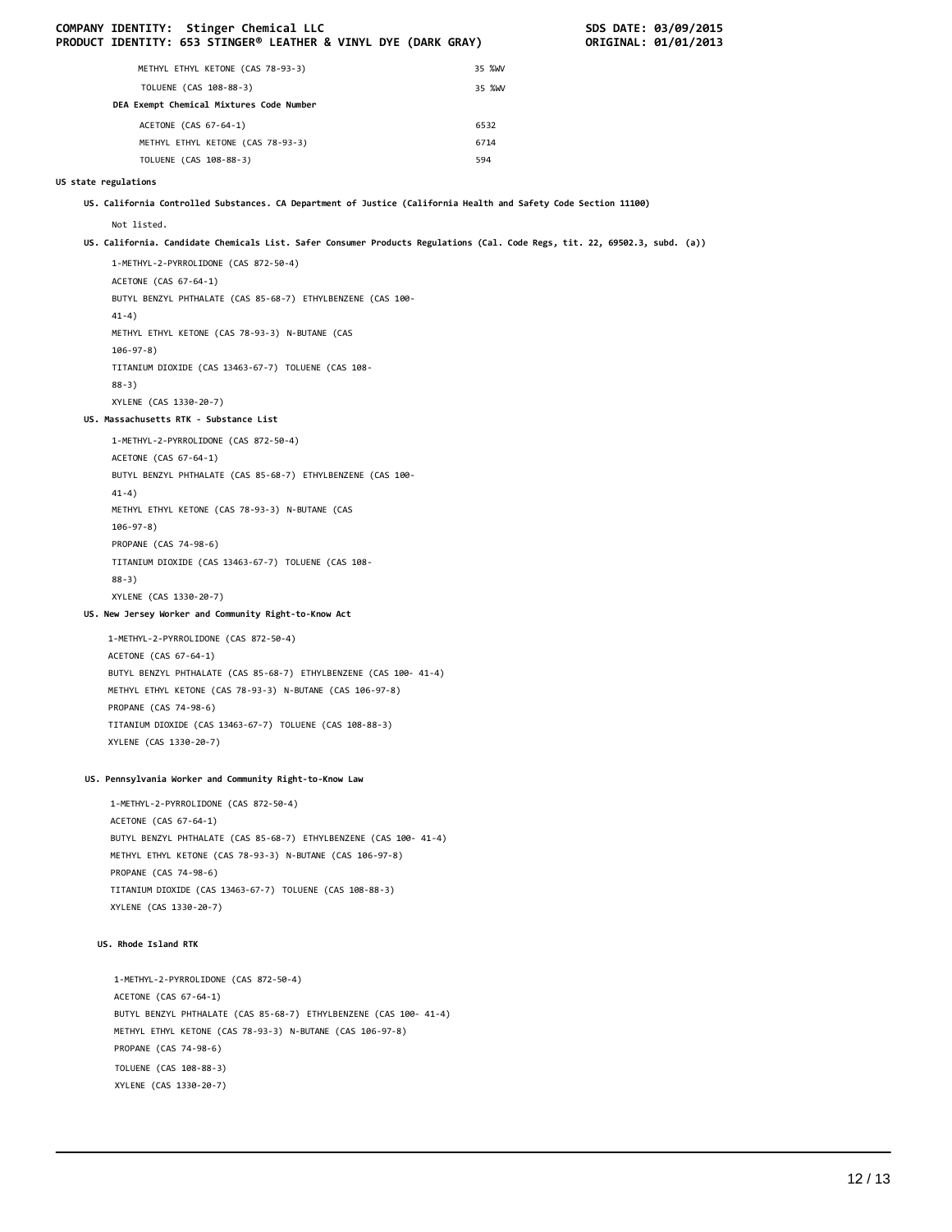|                      | COMPANY IDENTITY: Stinger Chemical LLC<br>PRODUCT IDENTITY: 653 STINGER® LEATHER & VINYL DYE (DARK GRAY)                       |        | SDS DATE: 03/09/2015<br>ORIGINAL: 01/01/2013 |
|----------------------|--------------------------------------------------------------------------------------------------------------------------------|--------|----------------------------------------------|
|                      | METHYL ETHYL KETONE (CAS 78-93-3)                                                                                              | 35 %WV |                                              |
|                      | TOLUENE (CAS 108-88-3)                                                                                                         | 35 %WV |                                              |
|                      | DEA Exempt Chemical Mixtures Code Number                                                                                       |        |                                              |
|                      | ACETONE (CAS 67-64-1)                                                                                                          | 6532   |                                              |
|                      | METHYL ETHYL KETONE (CAS 78-93-3)                                                                                              | 6714   |                                              |
|                      | TOLUENE (CAS 108-88-3)                                                                                                         | 594    |                                              |
| US state regulations |                                                                                                                                |        |                                              |
|                      | US. California Controlled Substances. CA Department of Justice (California Health and Safety Code Section 11100)               |        |                                              |
|                      | Not listed.                                                                                                                    |        |                                              |
|                      | US. California. Candidate Chemicals List. Safer Consumer Products Regulations (Cal. Code Regs, tit. 22, 69502.3, subd. (a))    |        |                                              |
|                      | 1-METHYL-2-PYRROLIDONE (CAS 872-50-4)                                                                                          |        |                                              |
|                      | ACETONE (CAS 67-64-1)                                                                                                          |        |                                              |
|                      | BUTYL BENZYL PHTHALATE (CAS 85-68-7) ETHYLBENZENE (CAS 100-<br>$41-4)$                                                         |        |                                              |
|                      | METHYL ETHYL KETONE (CAS 78-93-3) N-BUTANE (CAS                                                                                |        |                                              |
|                      | $106 - 97 - 8$ )<br>TITANIUM DIOXIDE (CAS 13463-67-7) TOLUENE (CAS 108-                                                        |        |                                              |
|                      | $88-3)$                                                                                                                        |        |                                              |
|                      | XYLENE (CAS 1330-20-7)                                                                                                         |        |                                              |
|                      | US. Massachusetts RTK - Substance List                                                                                         |        |                                              |
|                      | 1-METHYL-2-PYRROLIDONE (CAS 872-50-4)                                                                                          |        |                                              |
|                      | ACETONE (CAS 67-64-1)                                                                                                          |        |                                              |
|                      | BUTYL BENZYL PHTHALATE (CAS 85-68-7) ETHYLBENZENE (CAS 100-<br>$41-4)$                                                         |        |                                              |
|                      | METHYL ETHYL KETONE (CAS 78-93-3) N-BUTANE (CAS                                                                                |        |                                              |
|                      | $106 - 97 - 8$ )                                                                                                               |        |                                              |
|                      | PROPANE (CAS 74-98-6)                                                                                                          |        |                                              |
|                      | TITANIUM DIOXIDE (CAS 13463-67-7) TOLUENE (CAS 108-                                                                            |        |                                              |
|                      | $88-3)$                                                                                                                        |        |                                              |
|                      | XYLENE (CAS 1330-20-7)                                                                                                         |        |                                              |
|                      | US. New Jersey Worker and Community Right-to-Know Act                                                                          |        |                                              |
|                      | 1-METHYL-2-PYRROLIDONE (CAS 872-50-4)                                                                                          |        |                                              |
|                      | ACETONE (CAS 67-64-1)                                                                                                          |        |                                              |
|                      | BUTYL BENZYL PHTHALATE (CAS 85-68-7) ETHYLBENZENE (CAS 100- 41-4)<br>METHYL ETHYL KETONE (CAS 78-93-3) N-BUTANE (CAS 106-97-8) |        |                                              |
|                      | PROPANE (CAS 74-98-6)                                                                                                          |        |                                              |
|                      | TITANIUM DIOXIDE (CAS 13463-67-7) TOLUENE (CAS 108-88-3)                                                                       |        |                                              |
|                      | XYLENE (CAS 1330-20-7)                                                                                                         |        |                                              |
|                      | US. Pennsylvania Worker and Community Right-to-Know Law                                                                        |        |                                              |
|                      | 1-METHYL-2-PYRROLIDONE (CAS 872-50-4)                                                                                          |        |                                              |
|                      | ACETONE (CAS 67-64-1)                                                                                                          |        |                                              |
|                      | BUTYL BENZYL PHTHALATE (CAS 85-68-7) ETHYLBENZENE (CAS 100- 41-4)                                                              |        |                                              |
|                      | METHYL ETHYL KETONE (CAS 78-93-3) N-BUTANE (CAS 106-97-8)                                                                      |        |                                              |
|                      | PROPANE (CAS 74-98-6)                                                                                                          |        |                                              |
|                      | TITANIUM DIOXIDE (CAS 13463-67-7) TOLUENE (CAS 108-88-3)                                                                       |        |                                              |
|                      | XYLENE (CAS 1330-20-7)                                                                                                         |        |                                              |
|                      | US. Rhode Island RTK                                                                                                           |        |                                              |
|                      | 1-METHYL-2-PYRROLIDONE (CAS 872-50-4)                                                                                          |        |                                              |
|                      | ACETONE (CAS 67-64-1)                                                                                                          |        |                                              |
|                      | BUTYL BENZYL PHTHALATE (CAS 85-68-7) ETHYLBENZENE (CAS 100- 41-4)                                                              |        |                                              |
|                      | METHYL ETHYL KETONE (CAS 78-93-3) N-BUTANE (CAS 106-97-8)<br>PROPANE (CAS 74-98-6)                                             |        |                                              |
|                      | TOLUENE (CAS 108-88-3)                                                                                                         |        |                                              |
|                      | XYLENE (CAS 1330-20-7)                                                                                                         |        |                                              |